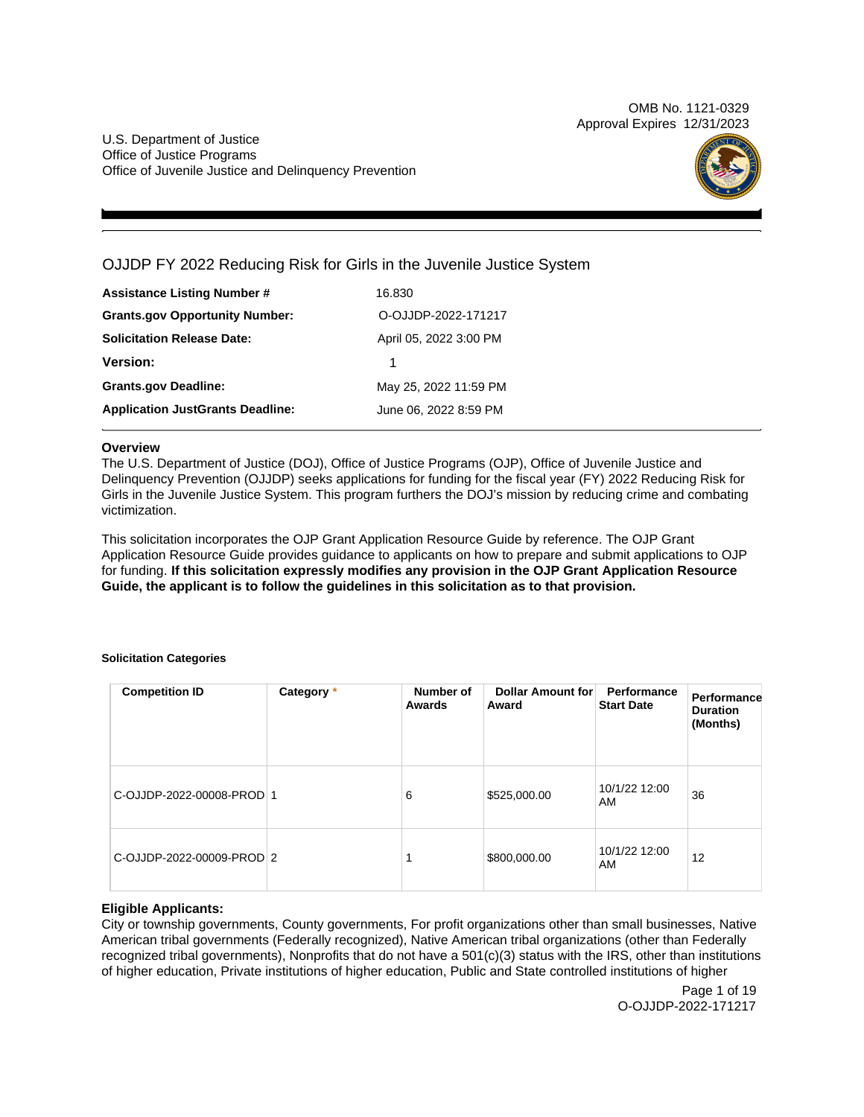OMB No. 1121-0329 Approval Expires 12/31/2023

U.S. Department of Justice Office of Justice Programs Office of Juvenile Justice and Delinquency Prevention



OJJDP FY 2022 Reducing Risk for Girls in the Juvenile Justice System

| <b>Assistance Listing Number #</b>      | 16.830                 |
|-----------------------------------------|------------------------|
| <b>Grants.gov Opportunity Number:</b>   | O-OJJDP-2022-171217    |
| <b>Solicitation Release Date:</b>       | April 05, 2022 3:00 PM |
| <b>Version:</b>                         |                        |
| <b>Grants.gov Deadline:</b>             | May 25, 2022 11:59 PM  |
| <b>Application JustGrants Deadline:</b> | June 06, 2022 8:59 PM  |

## **Overview**

The U.S. Department of Justice (DOJ), Office of Justice Programs (OJP), Office of Juvenile Justice and Delinquency Prevention (OJJDP) seeks applications for funding for the fiscal year (FY) 2022 Reducing Risk for Girls in the Juvenile Justice System. This program furthers the DOJ's mission by reducing crime and combating victimization.

This solicitation incorporates the OJP Grant Application Resource Guide by reference. The OJP Grant Application Resource Guide provides guidance to applicants on how to prepare and submit applications to OJP for funding. **If this solicitation expressly modifies any provision in the OJP Grant Application Resource Guide, the applicant is to follow the guidelines in this solicitation as to that provision.** 

## **Solicitation Categories**

| <b>Competition ID</b>     | Category * | Number of<br>Awards | Dollar Amount for<br>Award | Performance<br><b>Start Date</b> | Performance<br><b>Duration</b><br>(Months) |
|---------------------------|------------|---------------------|----------------------------|----------------------------------|--------------------------------------------|
| C-OJJDP-2022-00008-PROD 1 |            | 6                   | \$525,000.00               | 10/1/22 12:00<br>AM              | 36                                         |
| C-OJJDP-2022-00009-PROD 2 |            |                     | \$800,000.00               | 10/1/22 12:00<br>AM              | 12                                         |

## **Eligible Applicants:**

City or township governments, County governments, For profit organizations other than small businesses, Native American tribal governments (Federally recognized), Native American tribal organizations (other than Federally recognized tribal governments), Nonprofits that do not have a 501(c)(3) status with the IRS, other than institutions of higher education, Private institutions of higher education, Public and State controlled institutions of higher

> Page 1 of 19 O-OJJDP-2022-171217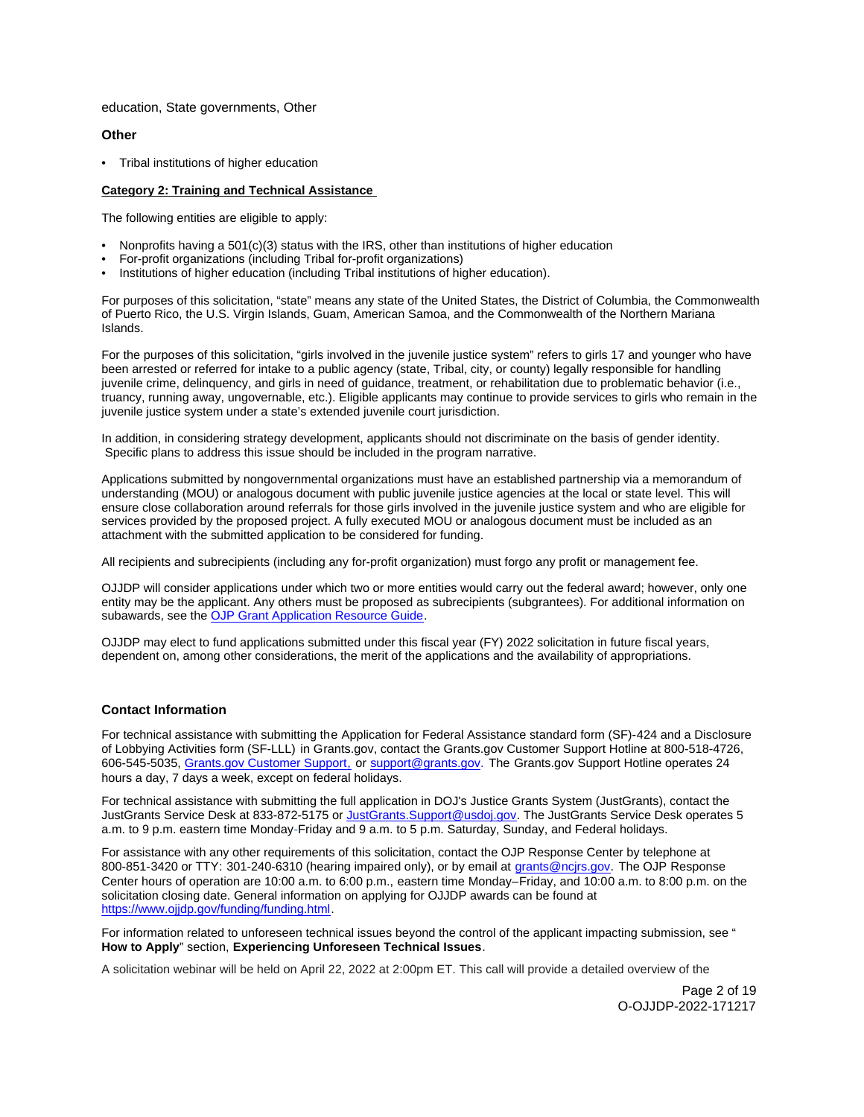## <span id="page-1-0"></span>education, State governments, Other

## **Other**

• Tribal institutions of higher education

## **Category 2: Training and Technical Assistance**

The following entities are eligible to apply:

- Nonprofits having a 501(c)(3) status with the IRS, other than institutions of higher education
- For-profit organizations (including Tribal for-profit organizations)
- Institutions of higher education (including Tribal institutions of higher education).

For purposes of this solicitation, "state" means any state of the United States, the District of Columbia, the Commonwealth of Puerto Rico, the U.S. Virgin Islands, Guam, American Samoa, and the Commonwealth of the Northern Mariana Islands.

For the purposes of this solicitation, "girls involved in the juvenile justice system" refers to girls 17 and younger who have been arrested or referred for intake to a public agency (state, Tribal, city, or county) legally responsible for handling juvenile crime, delinquency, and girls in need of guidance, treatment, or rehabilitation due to problematic behavior (i.e., truancy, running away, ungovernable, etc.). Eligible applicants may continue to provide services to girls who remain in the juvenile justice system under a state's extended juvenile court jurisdiction.

In addition, in considering strategy development, applicants should not discriminate on the basis of gender identity. Specific plans to address this issue should be included in the program narrative.

Applications submitted by nongovernmental organizations must have an established partnership via a memorandum of understanding (MOU) or analogous document with public juvenile justice agencies at the local or state level. This will ensure close collaboration around referrals for those girls involved in the juvenile justice system and who are eligible for services provided by the proposed project. A fully executed MOU or analogous document must be included as an attachment with the submitted application to be considered for funding.

All recipients and subrecipients (including any for-profit organization) must forgo any profit or management fee.

OJJDP will consider applications under which two or more entities would carry out the federal award; however, only one entity may be the applicant. Any others must be proposed as subrecipients (subgrantees). For additional information on subawards, see the [OJP Grant Application Resource Guide.](https://www.ojp.gov/funding/Apply/Resources/Grant-App-Resource-Guide.htm)

OJJDP may elect to fund applications submitted under this fiscal year (FY) 2022 solicitation in future fiscal years, dependent on, among other considerations, the merit of the applications and the availability of appropriations.

## **Contact Information**

For technical assistance with submitting the Application for Federal Assistance standard form (SF)-424 and a Disclosure of Lobbying Activities form (SF-LLL) in [Grants.gov,](https://Grants.gov) contact the [Grants.gov](https://Grants.gov) Customer Support Hotline at 800-518-4726, 606-545-5035, [Grants.gov Customer Support,](https://www.grants.gov/web/grants/support.html) or [support@grants.gov.](mailto:support@grants.gov) The [Grants.gov](https://Grants.gov) Support Hotline operates 24 hours a day, 7 days a week, except on federal holidays.

For technical assistance with submitting the full application in DOJ's Justice Grants System (JustGrants), contact the JustGrants Service Desk at 833-872-5175 or [JustGrants.Support@usdoj.gov.](mailto:JustGrants.Support@usdoj.gov) The JustGrants Service Desk operates 5 a.m. to 9 p.m. eastern time Monday-Friday and 9 a.m. to 5 p.m. Saturday, Sunday, and Federal holidays.

For assistance with any other requirements of this solicitation, contact the OJP Response Center by telephone at 800-851-3420 or TTY: 301-240-6310 (hearing impaired only), or by email at [grants@ncjrs.gov.](mailto:grants@ncjrs.gov) The OJP Response Center hours of operation are 10:00 a.m. to 6:00 p.m., eastern time Monday–Friday, and 10:00 a.m. to 8:00 p.m. on the solicitation closing date. General information on applying for OJJDP awards can be found at [https://www.ojjdp.gov/funding/funding.html.](https://www.ojjdp.gov/funding/funding.html)

For information related to unforeseen technical issues beyond the control of the applicant impacting submission, see " **How to Apply**" section, **Experiencing Unforeseen Technical Issues**.

A solicitation webinar will be held on April 22, 2022 at 2:00pm ET. This call will provide a detailed overview of the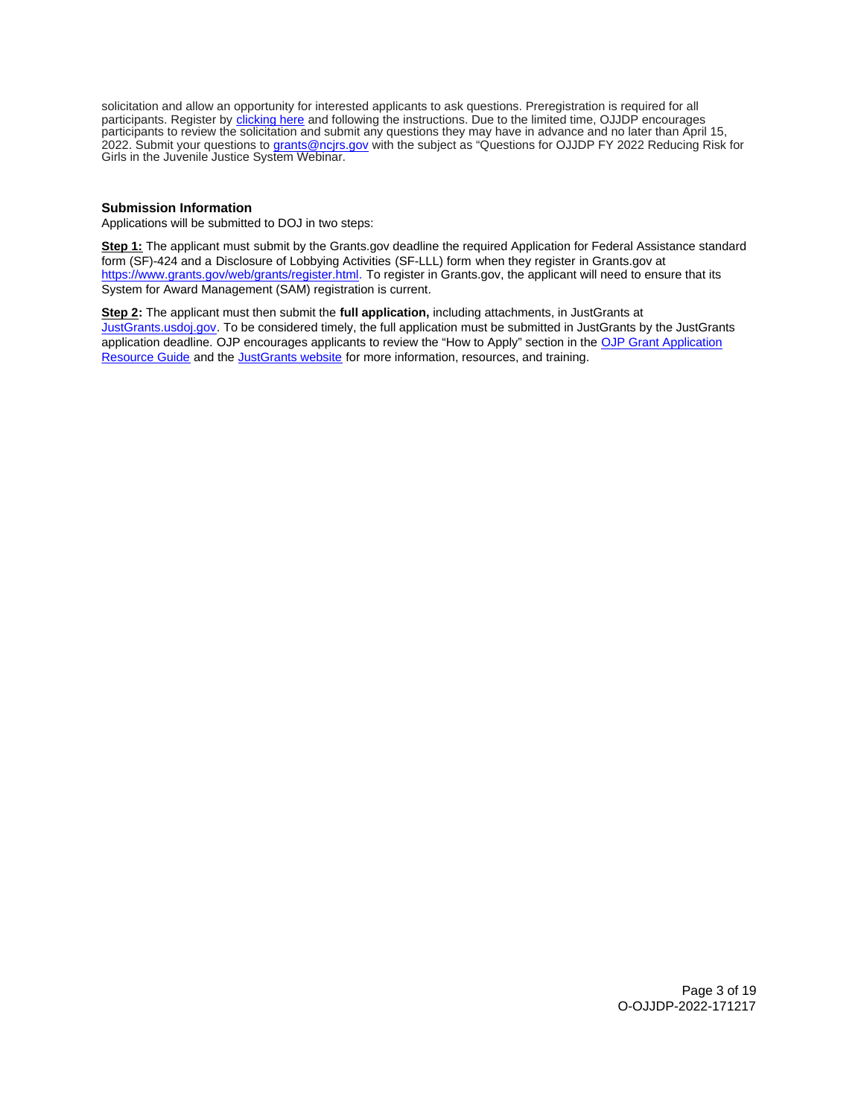solicitation and allow an opportunity for interested applicants to ask questions. Preregistration is required for all participants. Register by [clicking here](https://ojp.webex.com/ojp/onstage/g.php?MTID=e7e24567aa4ba75c8293beb2279900bc2) and following the instructions. Due to the limited time, OJJDP encourages participants to review the solicitation and submit any questions they may have in advance and no later than April 15, 2022. Submit your questions to [grants@ncjrs.gov](mailto:grants@ncjrs.gov) with the subject as "Questions for OJJDP FY 2022 Reducing Risk for Girls in the Juvenile Justice System Webinar.

## **Submission Information**

Applications will be submitted to DOJ in two steps:

**Step 1:** The applicant must submit by the [Grants.gov](https://Grants.gov) deadline the required Application for Federal Assistance standard form (SF)-424 and a Disclosure of Lobbying Activities (SF-LLL) form when they register in [Grants.gov](https://Grants.gov) at [https://www.grants.gov/web/grants/register.html.](https://www.grants.gov/web/grants/register.html) To register in [Grants.gov,](https://Grants.gov) the applicant will need to ensure that its System for Award Management (SAM) registration is current.

**Step 2:** The applicant must then submit the **full application,** including attachments, in JustGrants at [JustGrants.usdoj.gov.](https://justicegrants.usdoj.gov/) To be considered timely, the full application must be submitted in JustGrants by the JustGrants application deadline. OJP encourages applicants to review the "How to Apply" section in the OJP Grant Application [Resource Guide](https://www.ojp.gov/funding/apply/ojp-grant-application-resource-guide#apply) and the [JustGrants website](https://justicegrants.usdoj.gov/news) for more information, resources, and training.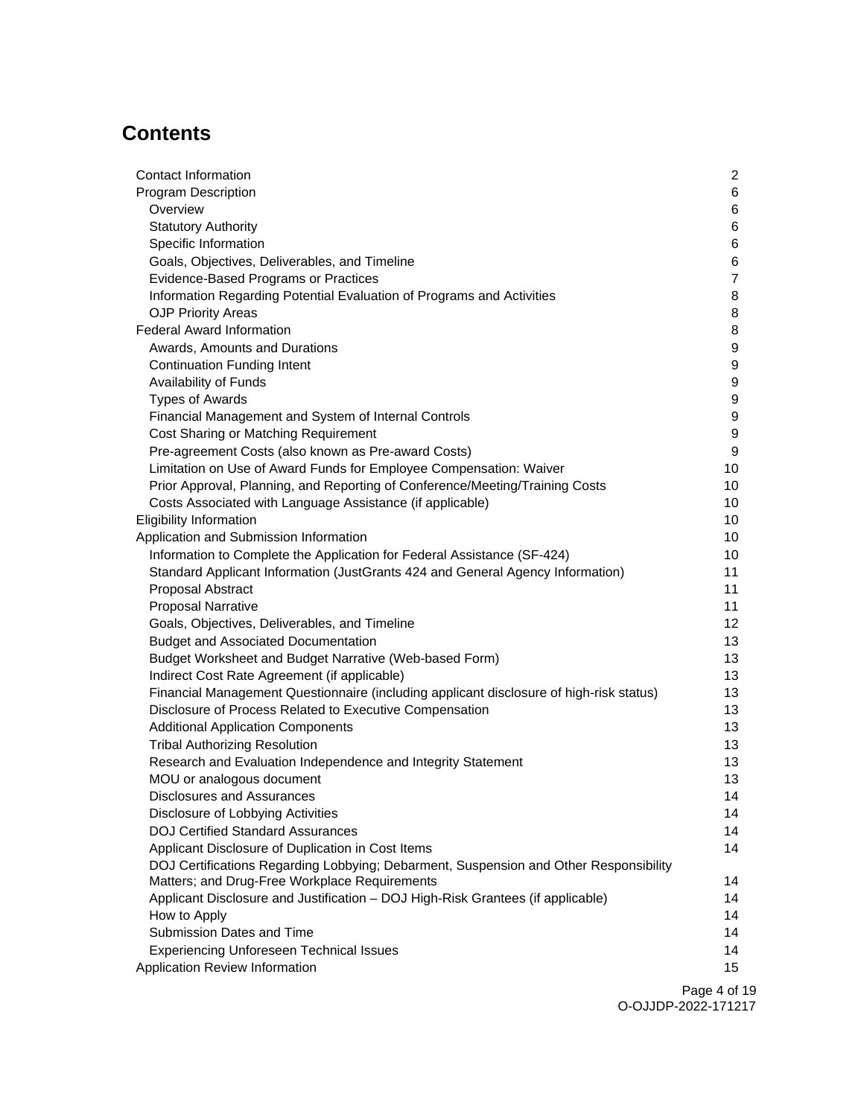## **Contents**

| Contact Information                                                                     | $\mathbf{2}$   |
|-----------------------------------------------------------------------------------------|----------------|
| <b>Program Description</b>                                                              | 6              |
| Overview                                                                                | 6              |
| <b>Statutory Authority</b>                                                              | 6              |
| Specific Information                                                                    | 6              |
| Goals, Objectives, Deliverables, and Timeline                                           | 6              |
| Evidence-Based Programs or Practices                                                    | $\overline{7}$ |
| Information Regarding Potential Evaluation of Programs and Activities                   | 8              |
| <b>OJP Priority Areas</b>                                                               | 8              |
| <b>Federal Award Information</b>                                                        | 8              |
| Awards, Amounts and Durations                                                           | 9              |
| <b>Continuation Funding Intent</b>                                                      | 9              |
| Availability of Funds                                                                   | 9              |
| <b>Types of Awards</b>                                                                  | 9              |
| Financial Management and System of Internal Controls                                    | 9              |
| Cost Sharing or Matching Requirement                                                    | 9              |
| Pre-agreement Costs (also known as Pre-award Costs)                                     | 9              |
| Limitation on Use of Award Funds for Employee Compensation: Waiver                      | 10             |
| Prior Approval, Planning, and Reporting of Conference/Meeting/Training Costs            | 10             |
| Costs Associated with Language Assistance (if applicable)                               | 10             |
| <b>Eligibility Information</b>                                                          | 10             |
| Application and Submission Information                                                  | 10             |
| Information to Complete the Application for Federal Assistance (SF-424)                 | 10             |
| Standard Applicant Information (JustGrants 424 and General Agency Information)          | 11             |
| Proposal Abstract                                                                       | 11             |
| <b>Proposal Narrative</b>                                                               | 11             |
| Goals, Objectives, Deliverables, and Timeline                                           | 12             |
| <b>Budget and Associated Documentation</b>                                              | 13             |
| Budget Worksheet and Budget Narrative (Web-based Form)                                  | 13             |
| Indirect Cost Rate Agreement (if applicable)                                            | 13             |
| Financial Management Questionnaire (including applicant disclosure of high-risk status) | 13             |
| Disclosure of Process Related to Executive Compensation                                 | 13             |
| <b>Additional Application Components</b>                                                | 13             |
| <b>Tribal Authorizing Resolution</b>                                                    | 13             |
| Research and Evaluation Independence and Integrity Statement                            | 13             |
| MOU or analogous document                                                               | 13             |
| Disclosures and Assurances                                                              | 14             |
| Disclosure of Lobbying Activities                                                       | 14             |
| <b>DOJ Certified Standard Assurances</b>                                                | 14             |
| Applicant Disclosure of Duplication in Cost Items                                       | 14             |
| DOJ Certifications Regarding Lobbying; Debarment, Suspension and Other Responsibility   |                |
| Matters; and Drug-Free Workplace Requirements                                           | 14             |
| Applicant Disclosure and Justification - DOJ High-Risk Grantees (if applicable)         | 14             |
| How to Apply                                                                            | 14             |
| Submission Dates and Time                                                               | 14             |
| <b>Experiencing Unforeseen Technical Issues</b>                                         | 14             |
| Application Review Information                                                          | 15             |
|                                                                                         |                |

Page 4 of 19 O-OJJDP-2022-171217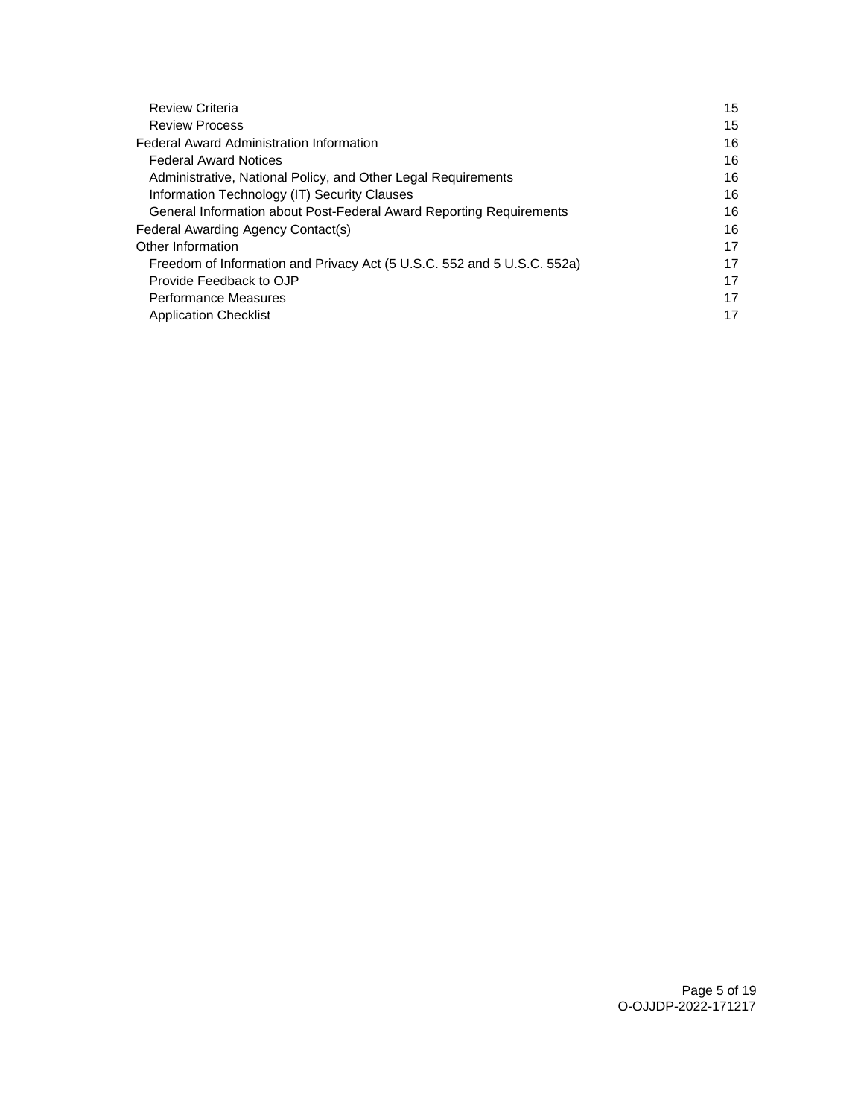| <b>Review Criteria</b>                                                  | 15 |
|-------------------------------------------------------------------------|----|
| <b>Review Process</b>                                                   | 15 |
| <b>Federal Award Administration Information</b>                         | 16 |
| <b>Federal Award Notices</b>                                            | 16 |
| Administrative, National Policy, and Other Legal Requirements           | 16 |
| Information Technology (IT) Security Clauses                            | 16 |
| General Information about Post-Federal Award Reporting Requirements     | 16 |
| Federal Awarding Agency Contact(s)                                      | 16 |
| Other Information                                                       | 17 |
| Freedom of Information and Privacy Act (5 U.S.C. 552 and 5 U.S.C. 552a) | 17 |
| Provide Feedback to OJP                                                 | 17 |
| <b>Performance Measures</b>                                             | 17 |
| <b>Application Checklist</b>                                            | 17 |
|                                                                         |    |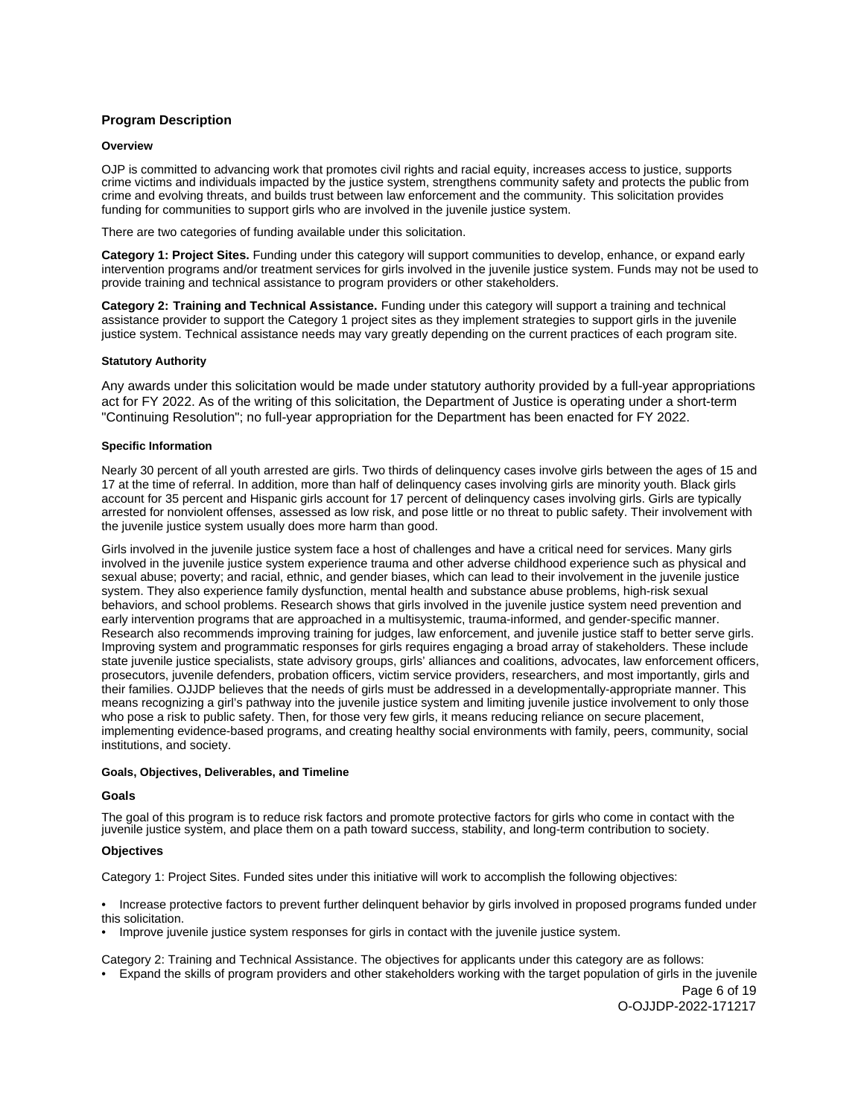## <span id="page-5-0"></span>**Program Description**

#### **Overview**

OJP is committed to advancing work that promotes civil rights and racial equity, increases access to justice, supports crime victims and individuals impacted by the justice system, strengthens community safety and protects the public from crime and evolving threats, and builds trust between law enforcement and the community. This solicitation provides funding for communities to support girls who are involved in the juvenile justice system.

There are two categories of funding available under this solicitation.

**Category 1: Project Sites.** Funding under this category will support communities to develop, enhance, or expand early intervention programs and/or treatment services for girls involved in the juvenile justice system. Funds may not be used to provide training and technical assistance to program providers or other stakeholders.

**Category 2: Training and Technical Assistance.** Funding under this category will support a training and technical assistance provider to support the Category 1 project sites as they implement strategies to support girls in the juvenile justice system. Technical assistance needs may vary greatly depending on the current practices of each program site.

#### **Statutory Authority**

Any awards under this solicitation would be made under statutory authority provided by a full-year appropriations act for FY 2022. As of the writing of this solicitation, the Department of Justice is operating under a short-term "Continuing Resolution"; no full-year appropriation for the Department has been enacted for FY 2022.

#### **Specific Information**

Nearly 30 percent of all youth arrested are girls. Two thirds of delinquency cases involve girls between the ages of 15 and 17 at the time of referral. In addition, more than half of delinquency cases involving girls are minority youth. Black girls account for 35 percent and Hispanic girls account for 17 percent of delinquency cases involving girls. Girls are typically arrested for nonviolent offenses, assessed as low risk, and pose little or no threat to public safety. Their involvement with the juvenile justice system usually does more harm than good.

Girls involved in the juvenile justice system face a host of challenges and have a critical need for services. Many girls involved in the juvenile justice system experience trauma and other adverse childhood experience such as physical and sexual abuse; poverty; and racial, ethnic, and gender biases, which can lead to their involvement in the juvenile justice system. They also experience family dysfunction, mental health and substance abuse problems, high-risk sexual behaviors, and school problems. Research shows that girls involved in the juvenile justice system need prevention and early intervention programs that are approached in a multisystemic, trauma-informed, and gender-specific manner. Research also recommends improving training for judges, law enforcement, and juvenile justice staff to better serve girls. Improving system and programmatic responses for girls requires engaging a broad array of stakeholders. These include state juvenile justice specialists, state advisory groups, girls' alliances and coalitions, advocates, law enforcement officers, prosecutors, juvenile defenders, probation officers, victim service providers, researchers, and most importantly, girls and their families. OJJDP believes that the needs of girls must be addressed in a developmentally-appropriate manner. This means recognizing a girl's pathway into the juvenile justice system and limiting juvenile justice involvement to only those who pose a risk to public safety. Then, for those very few girls, it means reducing reliance on secure placement, implementing evidence-based programs, and creating healthy social environments with family, peers, community, social institutions, and society.

#### **Goals, Objectives, Deliverables, and Timeline**

#### **Goals**

The goal of this program is to reduce risk factors and promote protective factors for girls who come in contact with the juvenile justice system, and place them on a path toward success, stability, and long-term contribution to society.

#### **Objectives**

Category 1: Project Sites. Funded sites under this initiative will work to accomplish the following objectives:

• Increase protective factors to prevent further delinquent behavior by girls involved in proposed programs funded under this solicitation.

• Improve juvenile justice system responses for girls in contact with the juvenile justice system.

Category 2: Training and Technical Assistance. The objectives for applicants under this category are as follows: • Expand the skills of program providers and other stakeholders working with the target population of girls in the juvenile

Page 6 of 19 O-OJJDP-2022-171217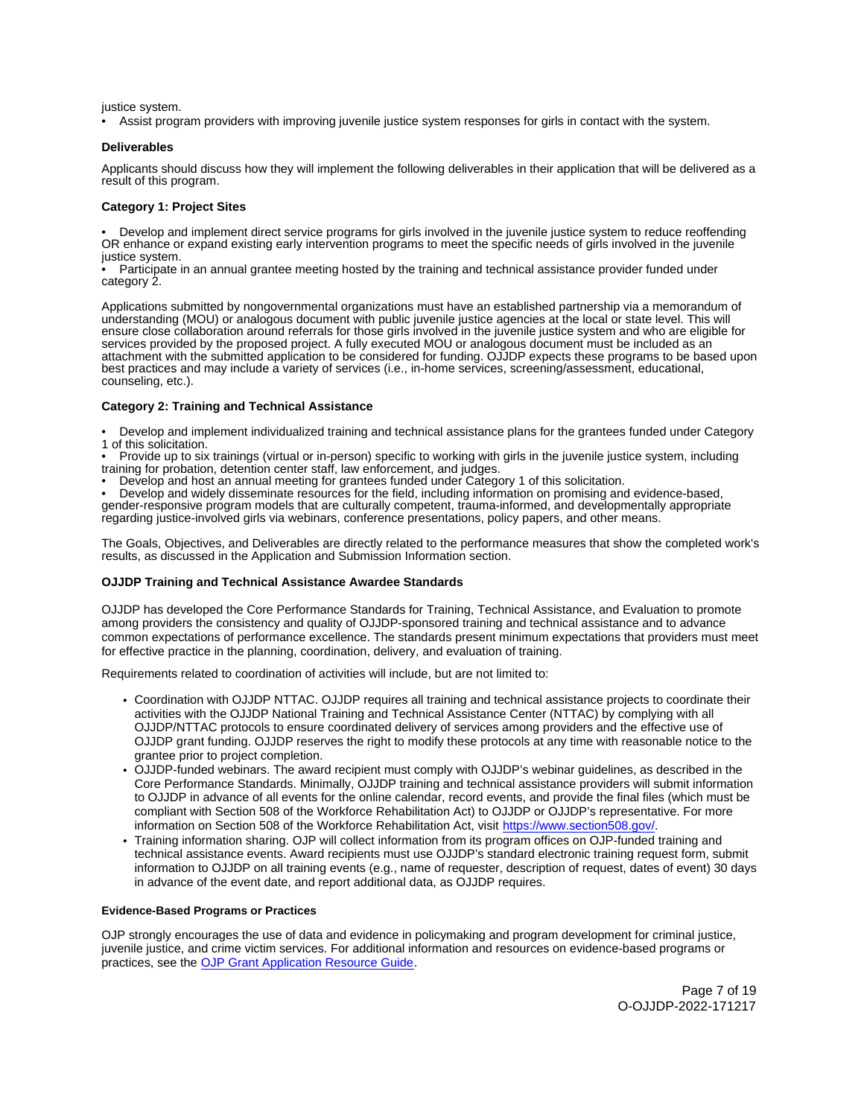<span id="page-6-0"></span>justice system.

• Assist program providers with improving juvenile justice system responses for girls in contact with the system.

#### **Deliverables**

Applicants should discuss how they will implement the following deliverables in their application that will be delivered as a result of this program.

#### **Category 1: Project Sites**

• Develop and implement direct service programs for girls involved in the juvenile justice system to reduce reoffending OR enhance or expand existing early intervention programs to meet the specific needs of girls involved in the juvenile justice system.

• Participate in an annual grantee meeting hosted by the training and technical assistance provider funded under category 2.

Applications submitted by nongovernmental organizations must have an established partnership via a memorandum of understanding (MOU) or analogous document with public juvenile justice agencies at the local or state level. This will ensure close collaboration around referrals for those girls involved in the juvenile justice system and who are eligible for services provided by the proposed project. A fully executed MOU or analogous document must be included as an attachment with the submitted application to be considered for funding. OJJDP expects these programs to be based upon best practices and may include a variety of services (i.e., in-home services, screening/assessment, educational, counseling, etc.).

## **Category 2: Training and Technical Assistance**

• Develop and implement individualized training and technical assistance plans for the grantees funded under Category 1 of this solicitation.

• Provide up to six trainings (virtual or in-person) specific to working with girls in the juvenile justice system, including training for probation, detention center staff, law enforcement, and judges.

• Develop and host an annual meeting for grantees funded under Category 1 of this solicitation.

• Develop and widely disseminate resources for the field, including information on promising and evidence-based, gender-responsive program models that are culturally competent, trauma-informed, and developmentally appropriate regarding justice-involved girls via webinars, conference presentations, policy papers, and other means.

The Goals, Objectives, and Deliverables are directly related to the performance measures that show the completed work's results, as discussed in the Application and Submission Information section.

## **OJJDP Training and Technical Assistance Awardee Standards**

OJJDP has developed the Core Performance Standards for Training, Technical Assistance, and Evaluation to promote among providers the consistency and quality of OJJDP-sponsored training and technical assistance and to advance common expectations of performance excellence. The standards present minimum expectations that providers must meet for effective practice in the planning, coordination, delivery, and evaluation of training.

Requirements related to coordination of activities will include, but are not limited to:

- Coordination with OJJDP NTTAC. OJJDP requires all training and technical assistance projects to coordinate their activities with the OJJDP National Training and Technical Assistance Center (NTTAC) by complying with all OJJDP/NTTAC protocols to ensure coordinated delivery of services among providers and the effective use of OJJDP grant funding. OJJDP reserves the right to modify these protocols at any time with reasonable notice to the grantee prior to project completion.
- OJJDP-funded webinars. The award recipient must comply with OJJDP's webinar guidelines, as described in the Core Performance Standards. Minimally, OJJDP training and technical assistance providers will submit information to OJJDP in advance of all events for the online calendar, record events, and provide the final files (which must be compliant with Section 508 of the Workforce Rehabilitation Act) to OJJDP or OJJDP's representative. For more information on Section 508 of the Workforce Rehabilitation Act, visit [https://www.section508.gov/.](https://www.section508.gov/)
- Training information sharing. OJP will collect information from its program offices on OJP-funded training and technical assistance events. Award recipients must use OJJDP's standard electronic training request form, submit information to OJJDP on all training events (e.g., name of requester, description of request, dates of event) 30 days in advance of the event date, and report additional data, as OJJDP requires.

## **Evidence-Based Programs or Practices**

OJP strongly encourages the use of data and evidence in policymaking and program development for criminal justice, juvenile justice, and crime victim services. For additional information and resources on evidence-based programs or practices, see the [OJP Grant Application Resource Guide.](https://www.ojp.gov/funding/apply/ojp-grant-application-resource-guide#evidence-based)

> Page 7 of 19 O-OJJDP-2022-171217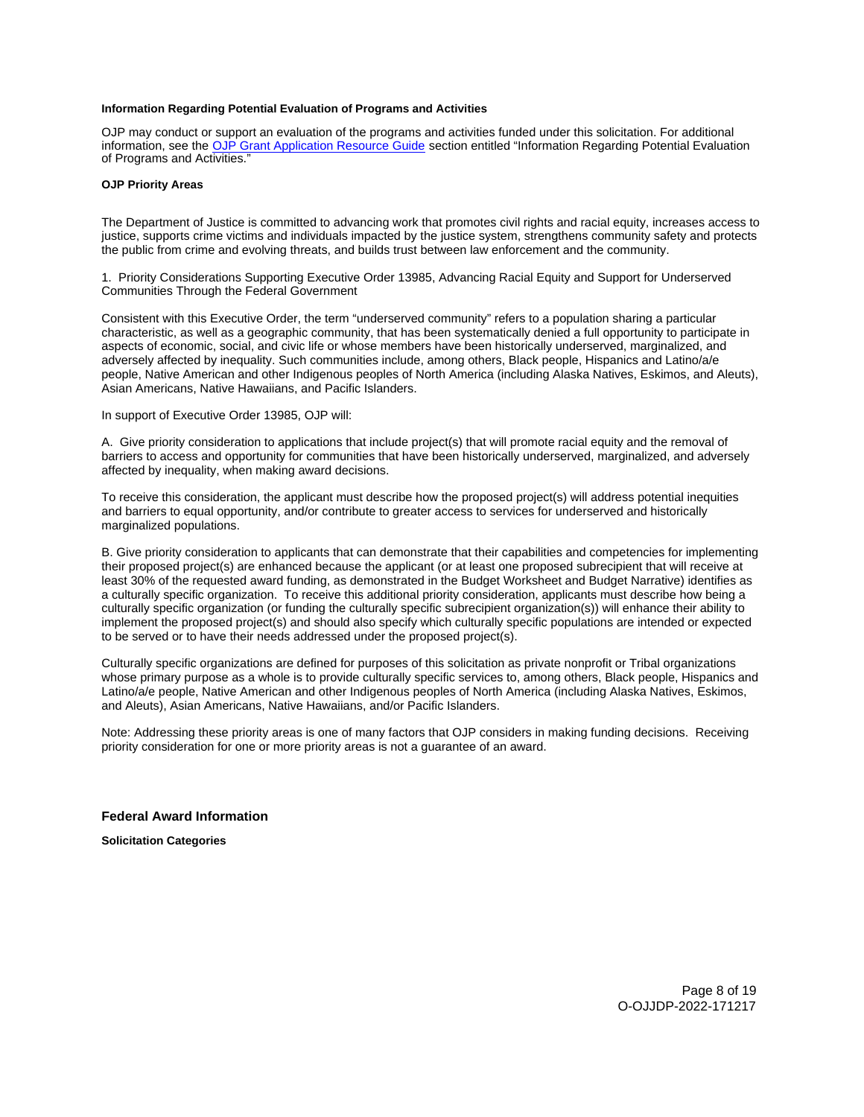## <span id="page-7-0"></span>**Information Regarding Potential Evaluation of Programs and Activities**

OJP may conduct or support an evaluation of the programs and activities funded under this solicitation. For additional information, see the [OJP Grant Application Resource Guide](https://www.ojp.gov/funding/apply/ojp-grant-application-resource-guide#potential-evaluation) section entitled "Information Regarding Potential Evaluation of Programs and Activities."

#### **OJP Priority Areas**

The Department of Justice is committed to advancing work that promotes civil rights and racial equity, increases access to justice, supports crime victims and individuals impacted by the justice system, strengthens community safety and protects the public from crime and evolving threats, and builds trust between law enforcement and the community.

1. Priority Considerations Supporting Executive Order 13985, Advancing Racial Equity and Support for Underserved Communities Through the Federal Government

Consistent with this Executive Order, the term "underserved community" refers to a population sharing a particular characteristic, as well as a geographic community, that has been systematically denied a full opportunity to participate in aspects of economic, social, and civic life or whose members have been historically underserved, marginalized, and adversely affected by inequality. Such communities include, among others, Black people, Hispanics and Latino/a/e people, Native American and other Indigenous peoples of North America (including Alaska Natives, Eskimos, and Aleuts), Asian Americans, Native Hawaiians, and Pacific Islanders.

#### In support of Executive Order 13985, OJP will:

A. Give priority consideration to applications that include project(s) that will promote racial equity and the removal of barriers to access and opportunity for communities that have been historically underserved, marginalized, and adversely affected by inequality, when making award decisions.

To receive this consideration, the applicant must describe how the proposed project(s) will address potential inequities and barriers to equal opportunity, and/or contribute to greater access to services for underserved and historically marginalized populations.

B. Give priority consideration to applicants that can demonstrate that their capabilities and competencies for implementing their proposed project(s) are enhanced because the applicant (or at least one proposed subrecipient that will receive at least 30% of the requested award funding, as demonstrated in the Budget Worksheet and Budget Narrative) identifies as a culturally specific organization. To receive this additional priority consideration, applicants must describe how being a culturally specific organization (or funding the culturally specific subrecipient organization(s)) will enhance their ability to implement the proposed project(s) and should also specify which culturally specific populations are intended or expected to be served or to have their needs addressed under the proposed project(s).

Culturally specific organizations are defined for purposes of this solicitation as private nonprofit or Tribal organizations whose primary purpose as a whole is to provide culturally specific services to, among others, Black people, Hispanics and Latino/a/e people, Native American and other Indigenous peoples of North America (including Alaska Natives, Eskimos, and Aleuts), Asian Americans, Native Hawaiians, and/or Pacific Islanders.

Note: Addressing these priority areas is one of many factors that OJP considers in making funding decisions. Receiving priority consideration for one or more priority areas is not a guarantee of an award.

**Federal Award Information** 

**Solicitation Categories** 

Page 8 of 19 O-OJJDP-2022-171217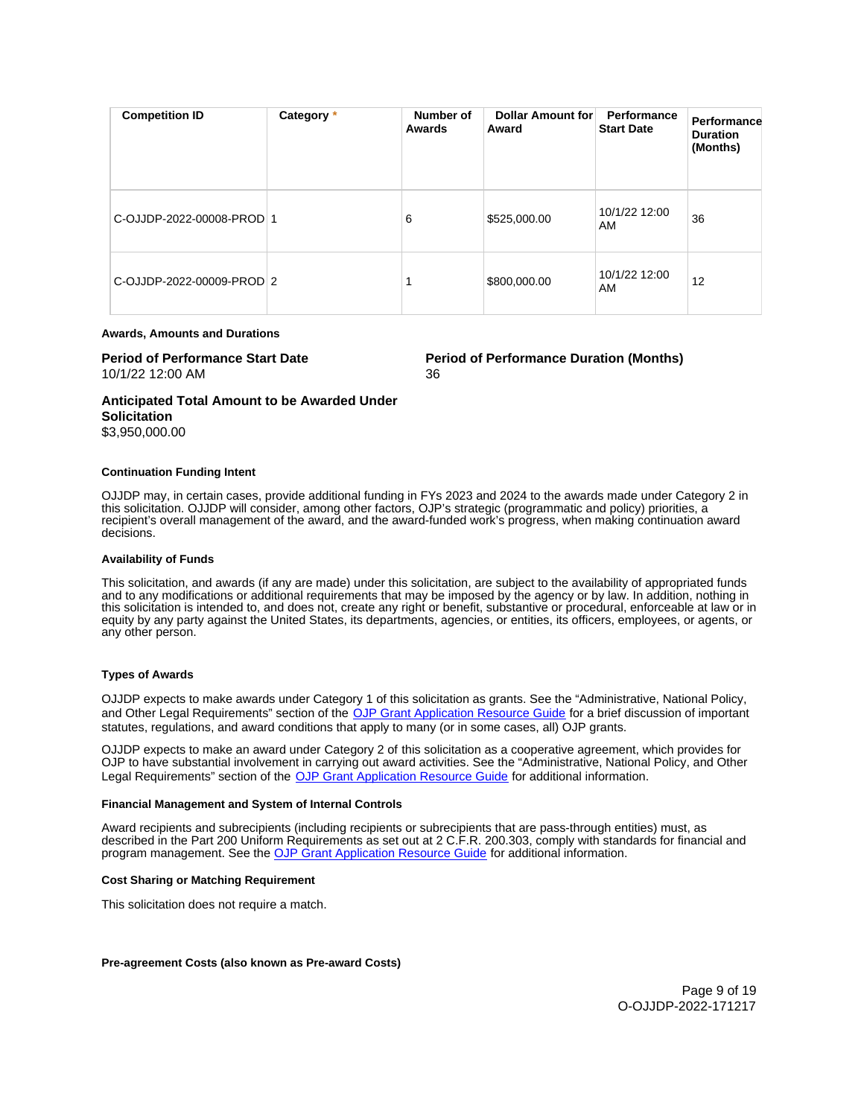<span id="page-8-0"></span>

| <b>Competition ID</b>     | Category * | Number of<br>Awards | Dollar Amount for<br>Award | Performance<br><b>Start Date</b> | Performance<br><b>Duration</b><br>(Months) |
|---------------------------|------------|---------------------|----------------------------|----------------------------------|--------------------------------------------|
| C-OJJDP-2022-00008-PROD 1 |            | 6                   | \$525,000.00               | 10/1/22 12:00<br>AM              | 36                                         |
| C-OJJDP-2022-00009-PROD 2 |            |                     | \$800,000.00               | 10/1/22 12:00<br>AM              | 12                                         |

#### **Awards, Amounts and Durations**

# 10/1/22 12:00 AM 36

**Period of Performance Start Date**  Period of Performance Duration (Months)

**Anticipated Total Amount to be Awarded Under Solicitation**  \$3,950,000.00

## **Continuation Funding Intent**

OJJDP may, in certain cases, provide additional funding in FYs 2023 and 2024 to the awards made under Category 2 in this solicitation. OJJDP will consider, among other factors, OJP's strategic (programmatic and policy) priorities, a recipient's overall management of the award, and the award-funded work's progress, when making continuation award decisions.

#### **Availability of Funds**

This solicitation, and awards (if any are made) under this solicitation, are subject to the availability of appropriated funds and to any modifications or additional requirements that may be imposed by the agency or by law. In addition, nothing in this solicitation is intended to, and does not, create any right or benefit, substantive or procedural, enforceable at law or in equity by any party against the United States, its departments, agencies, or entities, its officers, employees, or agents, or any other person.

## **Types of Awards**

OJJDP expects to make awards under Category 1 of this solicitation as grants. See the "Administrative, National Policy, and Other Legal Requirements" section of the [OJP Grant Application Resource Guide](https://ojp.gov/funding/Apply/Resources/Grant-App-Resource-Guide.htm) for a brief discussion of important statutes, regulations, and award conditions that apply to many (or in some cases, all) OJP grants.

OJJDP expects to make an award under Category 2 of this solicitation as a cooperative agreement, which provides for OJP to have substantial involvement in carrying out award activities. See the "Administrative, National Policy, and Other Legal Requirements" section of the [OJP Grant Application Resource Guide](https://ojp.gov/funding/Apply/Resources/Grant-App-Resource-Guide.htm) for additional information.

#### **Financial Management and System of Internal Controls**

Award recipients and subrecipients (including recipients or subrecipients that are pass-through entities) must, as described in the Part 200 Uniform Requirements as set out at 2 C.F.R. 200.303, comply with standards for financial and program management. See the [OJP Grant Application Resource Guide](https://www.ojp.gov/funding/apply/ojp-grant-application-resource-guide#fm-internal-controls) for additional information.

## **Cost Sharing or Matching Requirement**

This solicitation does not require a match.

## **Pre-agreement Costs (also known as Pre-award Costs)**

Page 9 of 19 O-OJJDP-2022-171217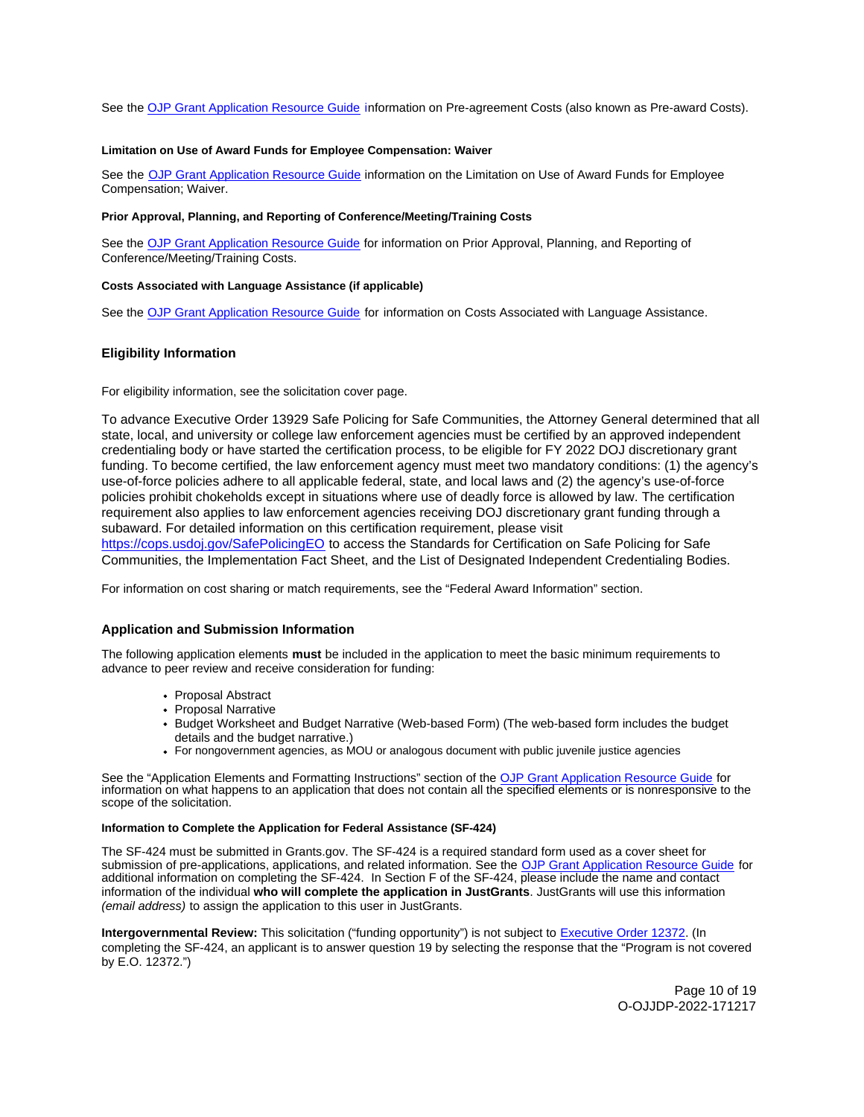<span id="page-9-0"></span>See the [OJP Grant Application Resource Guide](https://www.ojp.gov/funding/apply/ojp-grant-application-resource-guide#pre-agreement-costs) information on Pre-agreement Costs (also known as Pre-award Costs).

#### **Limitation on Use of Award Funds for Employee Compensation: Waiver**

See the [OJP Grant Application Resource Guide](https://www.ojp.gov/funding/apply/ojp-grant-application-resource-guide#limitation-use-award) information on the Limitation on Use of Award Funds for Employee Compensation; Waiver.

### **Prior Approval, Planning, and Reporting of Conference/Meeting/Training Costs**

See the [OJP Grant Application Resource Guide](https://www.ojp.gov/funding/apply/ojp-grant-application-resource-guide#prior-approval) for information on Prior Approval, Planning, and Reporting of Conference/Meeting/Training Costs.

#### **Costs Associated with Language Assistance (if applicable)**

See the [OJP Grant Application Resource Guide](https://www.ojp.gov/funding/apply/ojp-grant-application-resource-guide#costs-associated) for information on Costs Associated with Language Assistance.

## **Eligibility Information**

For eligibility information, see the solicitation cover page.

To advance Executive Order 13929 Safe Policing for Safe Communities, the Attorney General determined that all state, local, and university or college law enforcement agencies must be certified by an approved independent credentialing body or have started the certification process, to be eligible for FY 2022 DOJ discretionary grant funding. To become certified, the law enforcement agency must meet two mandatory conditions: (1) the agency's use-of-force policies adhere to all applicable federal, state, and local laws and (2) the agency's use-of-force policies prohibit chokeholds except in situations where use of deadly force is allowed by law. The certification requirement also applies to law enforcement agencies receiving DOJ discretionary grant funding through a subaward. For detailed information on this certification requirement, please visit

[https://cops.usdoj.gov/SafePolicingEO](https://cops.usdoj.gov/SafePolicingEO%20) to access the Standards for Certification on Safe Policing for Safe Communities, the Implementation Fact Sheet, and the List of Designated Independent Credentialing Bodies.

For information on cost sharing or match requirements, see the "Federal Award Information" section.

## **Application and Submission Information**

The following application elements **must** be included in the application to meet the basic minimum requirements to advance to peer review and receive consideration for funding:

- Proposal Abstract
- Proposal Narrative
- Budget Worksheet and Budget Narrative (Web-based Form) (The web-based form includes the budget details and the budget narrative.)
- For nongovernment agencies, as MOU or analogous document with public juvenile justice agencies

See the "Application Elements and Formatting Instructions" section of the [OJP Grant Application Resource Guide](https://www.ojp.gov/funding/apply/ojp-grant-application-resource-guide#application-elements) for information on what happens to an application that does not contain all the specified elements or is nonresponsive to the scope of the solicitation.

#### **Information to Complete the Application for Federal Assistance (SF-424)**

The SF-424 must be submitted in [Grants.gov.](https://Grants.gov) The SF-424 is a required standard form used as a cover sheet for submission of pre-applications, applications, and related information. See the [OJP Grant Application Resource Guide](https://www.ojp.gov/funding/apply/ojp-grant-application-resource-guide#complete-application) for additional information on completing the SF-424. In Section F of the SF-424, please include the name and contact information of the individual **who will complete the application in JustGrants**. JustGrants will use this information (email address) to assign the application to this user in JustGrants.

**Intergovernmental Review:** This solicitation ("funding opportunity") is not subject to [Executive Order 12372.](https://www.archives.gov/federal-register/codification/executive-order/12372.html) (In completing the SF-424, an applicant is to answer question 19 by selecting the response that the "Program is not covered by E.O. 12372.")

> Page 10 of 19 O-OJJDP-2022-171217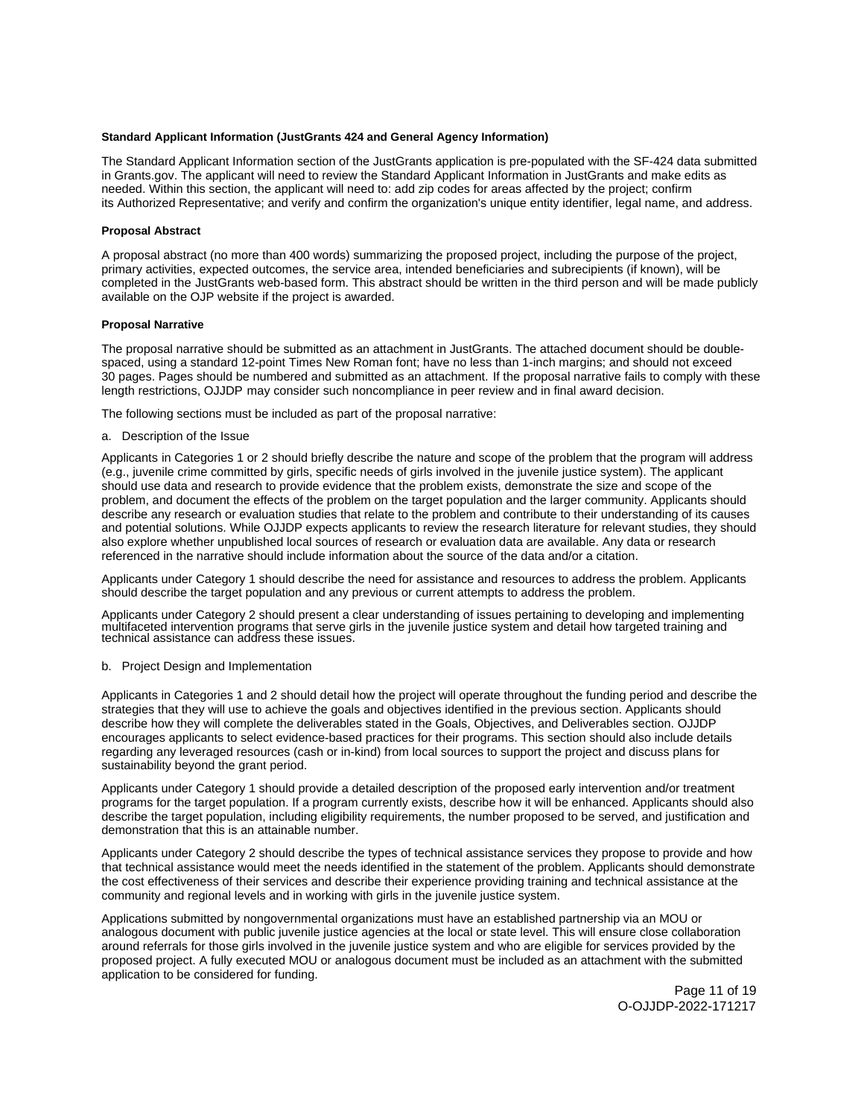#### <span id="page-10-0"></span>**Standard Applicant Information (JustGrants 424 and General Agency Information)**

The Standard Applicant Information section of the JustGrants application is pre-populated with the SF-424 data submitted in [Grants.gov](https://Grants.gov). The applicant will need to review the Standard Applicant Information in JustGrants and make edits as needed. Within this section, the applicant will need to: add zip codes for areas affected by the project; confirm its Authorized Representative; and verify and confirm the organization's unique entity identifier, legal name, and address.

## **Proposal Abstract**

A proposal abstract (no more than 400 words) summarizing the proposed project, including the purpose of the project, primary activities, expected outcomes, the service area, intended beneficiaries and subrecipients (if known), will be completed in the JustGrants web-based form. This abstract should be written in the third person and will be made publicly available on the OJP website if the project is awarded.

## **Proposal Narrative**

The proposal narrative should be submitted as an attachment in JustGrants. The attached document should be doublespaced, using a standard 12-point Times New Roman font; have no less than 1-inch margins; and should not exceed 30 pages. Pages should be numbered and submitted as an attachment. If the proposal narrative fails to comply with these length restrictions, OJJDP may consider such noncompliance in peer review and in final award decision.

The following sections must be included as part of the proposal narrative:

a. Description of the Issue

Applicants in Categories 1 or 2 should briefly describe the nature and scope of the problem that the program will address (e.g., juvenile crime committed by girls, specific needs of girls involved in the juvenile justice system). The applicant should use data and research to provide evidence that the problem exists, demonstrate the size and scope of the problem, and document the effects of the problem on the target population and the larger community. Applicants should describe any research or evaluation studies that relate to the problem and contribute to their understanding of its causes and potential solutions. While OJJDP expects applicants to review the research literature for relevant studies, they should also explore whether unpublished local sources of research or evaluation data are available. Any data or research referenced in the narrative should include information about the source of the data and/or a citation.

Applicants under Category 1 should describe the need for assistance and resources to address the problem. Applicants should describe the target population and any previous or current attempts to address the problem.

Applicants under Category 2 should present a clear understanding of issues pertaining to developing and implementing multifaceted intervention programs that serve girls in the juvenile justice system and detail how targeted training and technical assistance can address these issues.

b. Project Design and Implementation

Applicants in Categories 1 and 2 should detail how the project will operate throughout the funding period and describe the strategies that they will use to achieve the goals and objectives identified in the previous section. Applicants should describe how they will complete the deliverables stated in the Goals, Objectives, and Deliverables section. OJJDP encourages applicants to select evidence-based practices for their programs. This section should also include details regarding any leveraged resources (cash or in-kind) from local sources to support the project and discuss plans for sustainability beyond the grant period.

Applicants under Category 1 should provide a detailed description of the proposed early intervention and/or treatment programs for the target population. If a program currently exists, describe how it will be enhanced. Applicants should also describe the target population, including eligibility requirements, the number proposed to be served, and justification and demonstration that this is an attainable number.

Applicants under Category 2 should describe the types of technical assistance services they propose to provide and how that technical assistance would meet the needs identified in the statement of the problem. Applicants should demonstrate the cost effectiveness of their services and describe their experience providing training and technical assistance at the community and regional levels and in working with girls in the juvenile justice system.

Applications submitted by nongovernmental organizations must have an established partnership via an MOU or analogous document with public juvenile justice agencies at the local or state level. This will ensure close collaboration around referrals for those girls involved in the juvenile justice system and who are eligible for services provided by the proposed project. A fully executed MOU or analogous document must be included as an attachment with the submitted application to be considered for funding.

> Page 11 of 19 O-OJJDP-2022-171217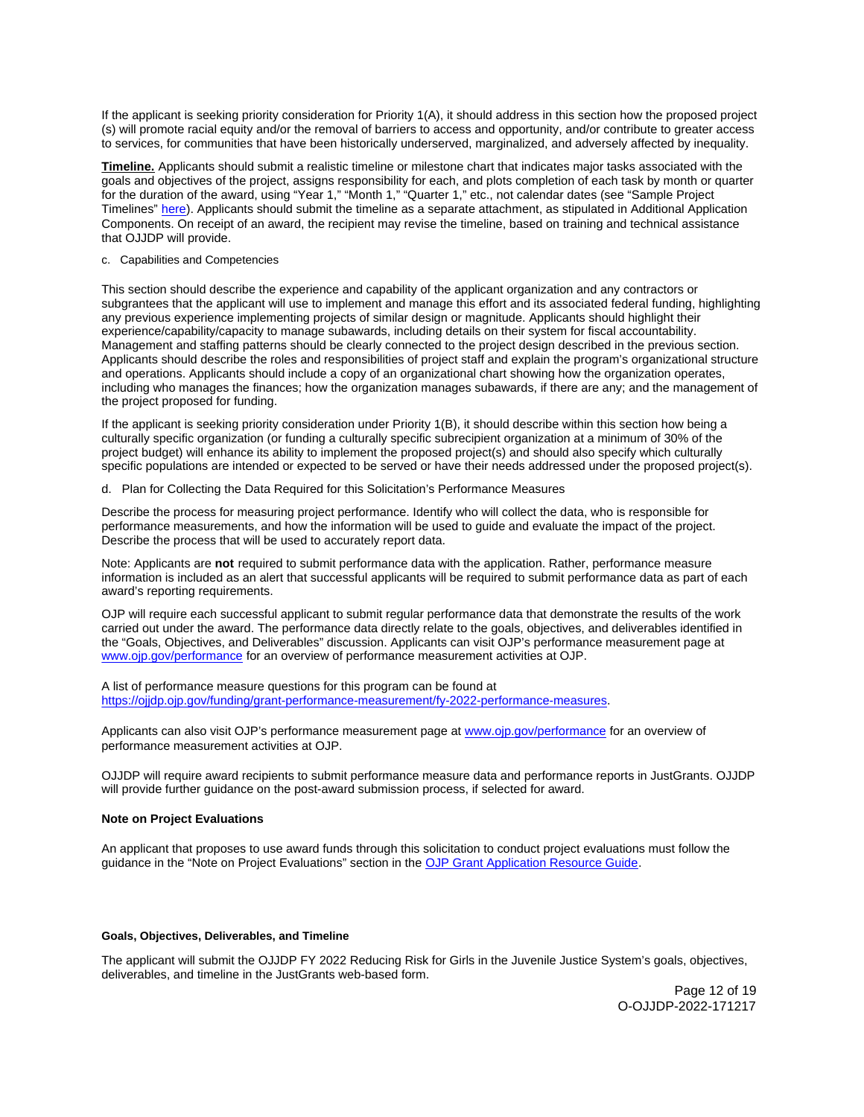<span id="page-11-0"></span>If the applicant is seeking priority consideration for Priority 1(A), it should address in this section how the proposed project (s) will promote racial equity and/or the removal of barriers to access and opportunity, and/or contribute to greater access to services, for communities that have been historically underserved, marginalized, and adversely affected by inequality.

**Timeline.** Applicants should submit a realistic timeline or milestone chart that indicates major tasks associated with the goals and objectives of the project, assigns responsibility for each, and plots completion of each task by month or quarter for the duration of the award, using "Year 1," "Month 1," "Quarter 1," etc., not calendar dates (see "Sample Project Timelines" [here\)](https://ojjdp.ojp.gov/funding/ojjdp-sample-timelines). Applicants should submit the timeline as a separate attachment, as stipulated in Additional Application Components. On receipt of an award, the recipient may revise the timeline, based on training and technical assistance that OJJDP will provide.

#### c. Capabilities and Competencies

This section should describe the experience and capability of the applicant organization and any contractors or subgrantees that the applicant will use to implement and manage this effort and its associated federal funding, highlighting any previous experience implementing projects of similar design or magnitude. Applicants should highlight their experience/capability/capacity to manage subawards, including details on their system for fiscal accountability. Management and staffing patterns should be clearly connected to the project design described in the previous section. Applicants should describe the roles and responsibilities of project staff and explain the program's organizational structure and operations. Applicants should include a copy of an organizational chart showing how the organization operates, including who manages the finances; how the organization manages subawards, if there are any; and the management of the project proposed for funding.

If the applicant is seeking priority consideration under Priority 1(B), it should describe within this section how being a culturally specific organization (or funding a culturally specific subrecipient organization at a minimum of 30% of the project budget) will enhance its ability to implement the proposed project(s) and should also specify which culturally specific populations are intended or expected to be served or have their needs addressed under the proposed project(s).

d. Plan for Collecting the Data Required for this Solicitation's Performance Measures

Describe the process for measuring project performance. Identify who will collect the data, who is responsible for performance measurements, and how the information will be used to guide and evaluate the impact of the project. Describe the process that will be used to accurately report data.

Note: Applicants are **not** required to submit performance data with the application. Rather, performance measure information is included as an alert that successful applicants will be required to submit performance data as part of each award's reporting requirements.

OJP will require each successful applicant to submit regular performance data that demonstrate the results of the work carried out under the award. The performance data directly relate to the goals, objectives, and deliverables identified in the "Goals, Objectives, and Deliverables" discussion. Applicants can visit OJP's performance measurement page at [www.ojp.gov/performance](https://www.ojp.gov/performance) for an overview of performance measurement activities at OJP.

A list of performance measure questions for this program can be found at [https://ojjdp.ojp.gov/funding/grant-performance-measurement/fy-2022-performance-measures.](https://ojjdp.ojp.gov/funding/performance-measures/performance-measures-girls-juvenile-justice-system-program.pdf)

Applicants can also visit OJP's performance measurement page at [www.ojp.gov/performance](https://www.ojp.gov/performance) for an overview of performance measurement activities at OJP.

OJJDP will require award recipients to submit performance measure data and performance reports in JustGrants. OJJDP will provide further guidance on the post-award submission process, if selected for award.

## **Note on Project Evaluations**

An applicant that proposes to use award funds through this solicitation to conduct project evaluations must follow the guidance in the "Note on Project Evaluations" section in the [OJP Grant Application Resource Guide.](https://www.ojp.gov/funding/apply/ojp-grant-application-resource-guide#project-evaluations)

#### **Goals, Objectives, Deliverables, and Timeline**

The applicant will submit the OJJDP FY 2022 Reducing Risk for Girls in the Juvenile Justice System's goals, objectives, deliverables, and timeline in the JustGrants web-based form.

> Page 12 of 19 O-OJJDP-2022-171217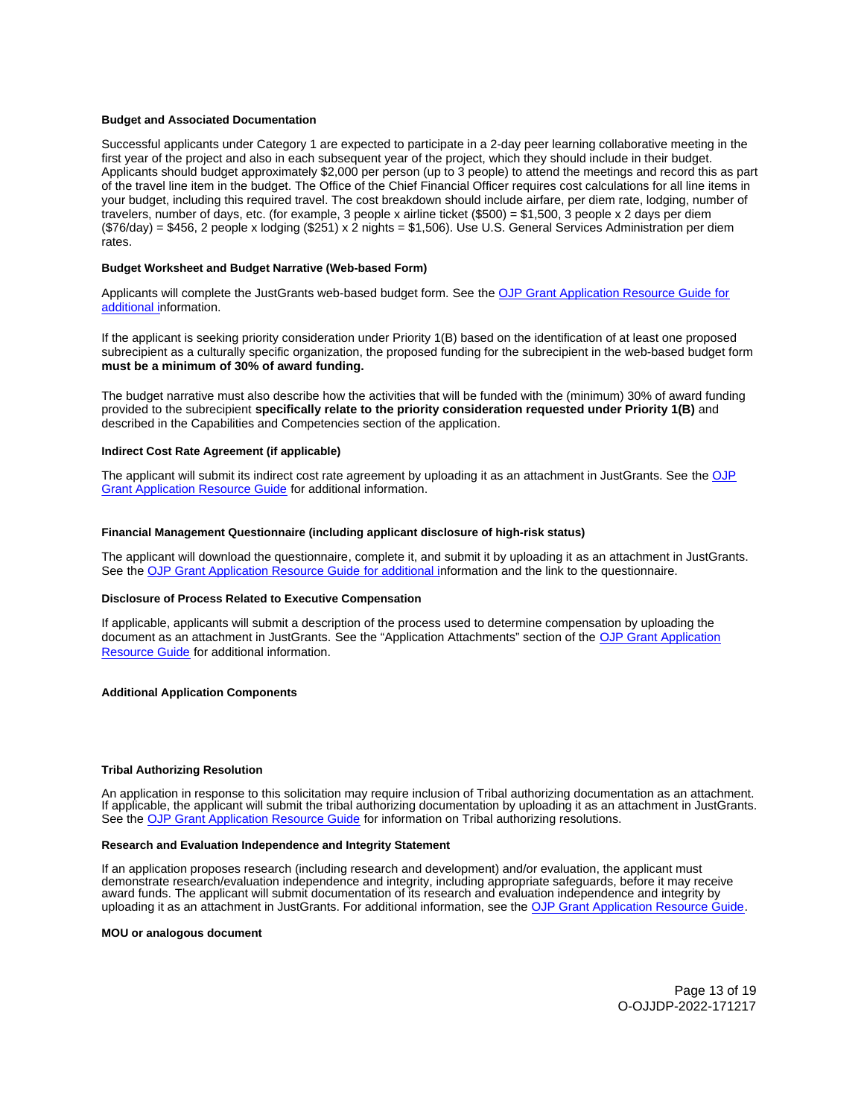#### <span id="page-12-0"></span>**Budget and Associated Documentation**

Successful applicants under Category 1 are expected to participate in a 2-day peer learning collaborative meeting in the first year of the project and also in each subsequent year of the project, which they should include in their budget. Applicants should budget approximately \$2,000 per person (up to 3 people) to attend the meetings and record this as part of the travel line item in the budget. The Office of the Chief Financial Officer requires cost calculations for all line items in your budget, including this required travel. The cost breakdown should include airfare, per diem rate, lodging, number of travelers, number of days, etc. (for example, 3 people x airline ticket (\$500) = \$1,500, 3 people x 2 days per diem (\$76/day) = \$456, 2 people x lodging (\$251) x 2 nights = \$1,506). Use U.S. General Services Administration per diem rates.

#### **Budget Worksheet and Budget Narrative (Web-based Form)**

Applicants will complete the JustGrants web-based budget form. See the [OJP Grant Application Resource Guide](https://ojp.gov/funding/Apply/Resources/Grant-App-Resource-Guide.htm) for additional information.

If the applicant is seeking priority consideration under Priority 1(B) based on the identification of at least one proposed subrecipient as a culturally specific organization, the proposed funding for the subrecipient in the web-based budget form **must be a minimum of 30% of award funding.** 

The budget narrative must also describe how the activities that will be funded with the (minimum) 30% of award funding provided to the subrecipient **specifically relate to the priority consideration requested under Priority 1(B)** and described in the Capabilities and Competencies section of the application.

## **Indirect Cost Rate Agreement (if applicable)**

The applicant will submit its indirect cost rate agreement by uploading it as an attachment in JustGrants. See the OJP [Grant Application Resource Guide](https://www.ojp.gov/funding/apply/ojp-grant-application-resource-guide#indirect-cost) for additional information.

#### **Financial Management Questionnaire (including applicant disclosure of high-risk status)**

The applicant will download the questionnaire, complete it, and submit it by uploading it as an attachment in JustGrants. See the [OJP Grant Application Resource Guide](https://ojp.gov/funding/Apply/Resources/Grant-App-Resource-Guide.htm) for additional information and the link to the questionnaire.

#### **Disclosure of Process Related to Executive Compensation**

If applicable, applicants will submit a description of the process used to determine compensation by uploading the document as an attachment in JustGrants. See the "Application Attachments" section of the [OJP Grant Application](https://www.ojp.gov/funding/Apply/Resources/Grant-App-Resource-Guide.htm)  [Resource Guide](https://www.ojp.gov/funding/Apply/Resources/Grant-App-Resource-Guide.htm) for additional information.

#### **Additional Application Components**

#### **Tribal Authorizing Resolution**

An application in response to this solicitation may require inclusion of Tribal authorizing documentation as an attachment. If applicable, the applicant will submit the tribal authorizing documentation by uploading it as an attachment in JustGrants. See the [OJP Grant Application Resource Guide](https://www.ojp.gov/funding/apply/ojp-grant-application-resource-guide#tribal-authorizing-resolution) for information on Tribal authorizing resolutions.

## **Research and Evaluation Independence and Integrity Statement**

If an application proposes research (including research and development) and/or evaluation, the applicant must demonstrate research/evaluation independence and integrity, including appropriate safeguards, before it may receive award funds. The applicant will submit documentation of its research and evaluation independence and integrity by uploading it as an attachment in JustGrants. For additional information, see the [OJP Grant Application Resource Guide.](https://www.ojp.gov/funding/apply/ojp-grant-application-resource-guide#research-evaluation)

#### **MOU or analogous document**

Page 13 of 19 O-OJJDP-2022-171217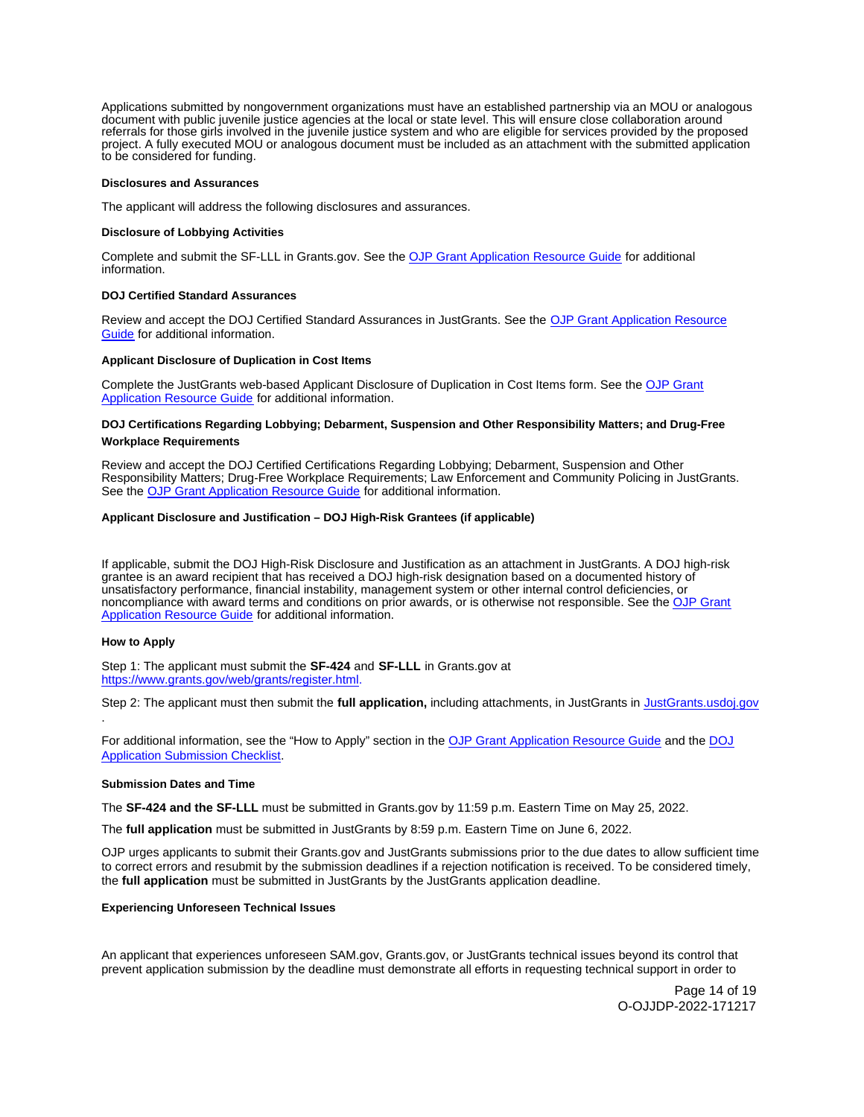<span id="page-13-0"></span>Applications submitted by nongovernment organizations must have an established partnership via an MOU or analogous document with public juvenile justice agencies at the local or state level. This will ensure close collaboration around referrals for those girls involved in the juvenile justice system and who are eligible for services provided by the proposed project. A fully executed MOU or analogous document must be included as an attachment with the submitted application to be considered for funding.

#### **Disclosures and Assurances**

The applicant will address the following disclosures and assurances.

#### **Disclosure of Lobbying Activities**

Complete and submit the SF-LLL in [Grants.gov.](https://Grants.gov) See the [OJP Grant Application Resource Guide](https://www.ojp.gov/funding/apply/ojp-grant-application-resource-guide#disclosure-lobby) for additional information.

## **DOJ Certified Standard Assurances**

Review and accept the DOJ Certified Standard Assurances in JustGrants. See the [OJP Grant Application Resource](https://www.ojp.gov/funding/apply/ojp-grant-application-resource-guide#administrative)  [Guide](https://www.ojp.gov/funding/apply/ojp-grant-application-resource-guide#administrative) for additional information.

#### **Applicant Disclosure of Duplication in Cost Items**

Complete the JustGrants web-based Applicant Disclosure of Duplication in Cost Items form. See the [OJP Grant](https://www.ojp.gov/funding/apply/ojp-grant-application-resource-guide#applicant-disclosure-pending-applications)  [Application Resource Guide](https://www.ojp.gov/funding/apply/ojp-grant-application-resource-guide#applicant-disclosure-pending-applications) for additional information.

## **DOJ Certifications Regarding Lobbying; Debarment, Suspension and Other Responsibility Matters; and Drug-Free Workplace Requirements**

Review and accept the DOJ Certified Certifications Regarding Lobbying; Debarment, Suspension and Other Responsibility Matters; Drug-Free Workplace Requirements; Law Enforcement and Community Policing in JustGrants. See the [OJP Grant Application Resource Guide](https://www.ojp.gov/funding/apply/ojp-grant-application-resource-guide#administrative) for additional information.

#### **Applicant Disclosure and Justification – DOJ High-Risk Grantees (if applicable)**

If applicable, submit the DOJ High-Risk Disclosure and Justification as an attachment in JustGrants. A DOJ high-risk grantee is an award recipient that has received a DOJ high-risk designation based on a documented history of unsatisfactory performance, financial instability, management system or other internal control deficiencies, or noncompliance with award terms and conditions on prior awards, or is otherwise not responsible. See the [OJP Grant](https://www.ojp.gov/funding/apply/ojp-grant-application-resource-guide#applicant-disclosure-justification)  [Application Resource Guide](https://www.ojp.gov/funding/apply/ojp-grant-application-resource-guide#applicant-disclosure-justification) for additional information.

#### **How to Apply**

.

Step 1: The applicant must submit the **SF-424** and **SF-LLL** in [Grants.gov](https://Grants.gov) at [https://www.grants.gov/web/grants/register.html.](https://www.grants.gov/web/grants/register.html) 

Step 2: The applicant must then submit the **full application,** including attachments, in JustGrants in [JustGrants.usdoj.gov](https://justicegrants.usdoj.gov/) 

For additional information, see the "How to Apply" section in the [OJP Grant Application Resource Guide](https://www.ojp.gov/funding/apply/ojp-grant-application-resource-guide#apply) and the [DOJ](https://justicegrants.usdoj.gov/sites/g/files/xyckuh296/files/media/document/appln-submission-checklist.pdf) [Application Submission Checklist.](https://justicegrants.usdoj.gov/sites/g/files/xyckuh296/files/media/document/appln-submission-checklist.pdf)

## **Submission Dates and Time**

The **SF-424 and the SF-LLL** must be submitted in [Grants.gov](https://Grants.gov) by 11:59 p.m. Eastern Time on May 25, 2022.

The **full application** must be submitted in JustGrants by 8:59 p.m. Eastern Time on June 6, 2022.

OJP urges applicants to submit their [Grants.gov](https://Grants.gov) and JustGrants submissions prior to the due dates to allow sufficient time to correct errors and resubmit by the submission deadlines if a rejection notification is received. To be considered timely, the **full application** must be submitted in JustGrants by the JustGrants application deadline.

## **Experiencing Unforeseen Technical Issues**

An applicant that experiences unforeseen SAM.gov, [Grants.gov,](https://Grants.gov) or JustGrants technical issues beyond its control that prevent application submission by the deadline must demonstrate all efforts in requesting technical support in order to

> Page 14 of 19 O-OJJDP-2022-171217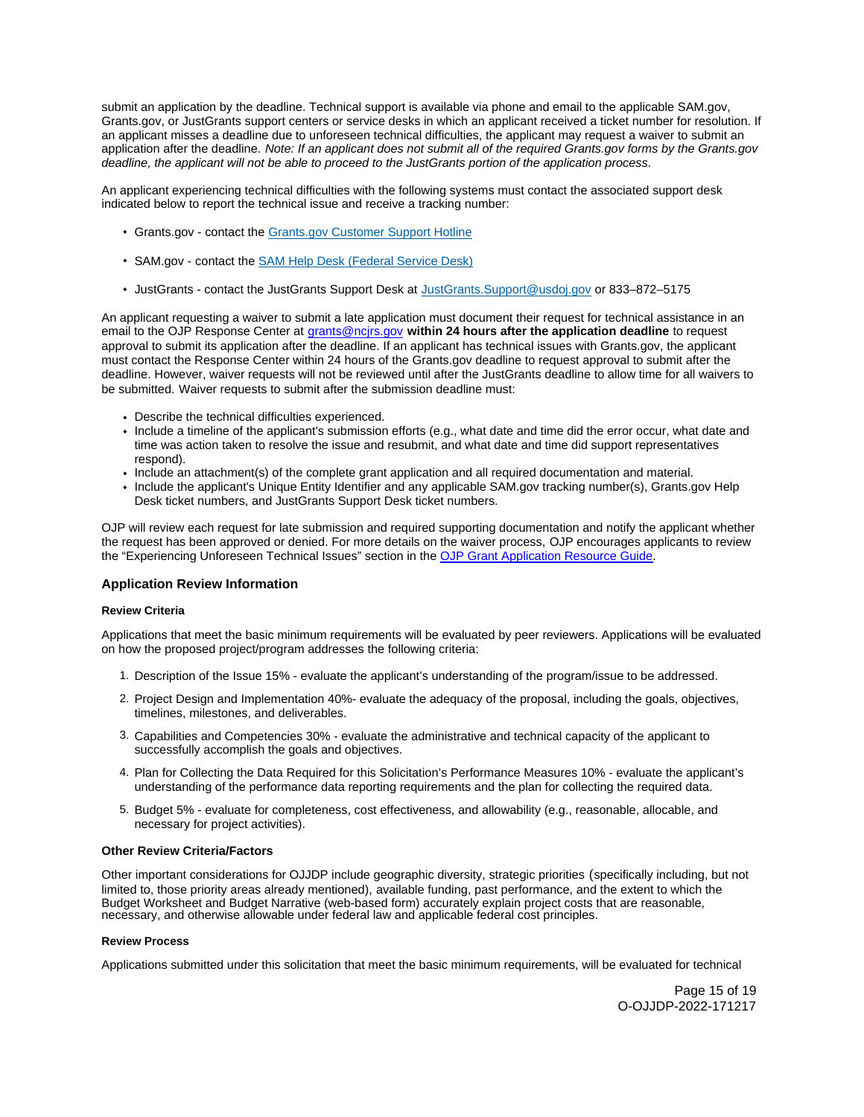<span id="page-14-0"></span>submit an application by the deadline. Technical support is available via phone and email to the applicable SAM.gov, [Grants.gov](https://Grants.gov), or JustGrants support centers or service desks in which an applicant received a ticket number for resolution. If an applicant misses a deadline due to unforeseen technical difficulties, the applicant may request a waiver to submit an application after the deadline. Note: If an applicant does not submit all of the required [Grants.gov](https://Grants.gov) forms by the [Grants.gov](https://Grants.gov) deadline, the applicant will not be able to proceed to the JustGrants portion of the application process.

An applicant experiencing technical difficulties with the following systems must contact the associated support desk indicated below to report the technical issue and receive a tracking number:

- [Grants.gov](https://Grants.gov)  contact the Grants.gov Customer Support Hotline
- SAM.gov contact the [SAM Help Desk \(Federal Service Desk\)](https://www.fsd.gov/gsafsd_sp)
- JustGrants contact the JustGrants Support Desk at [JustGrants.Support@usdoj.gov](mailto:JustGrants.Support@usdoj.gov) or 833–872–5175

An applicant requesting a waiver to submit a late application must document their request for technical assistance in an email to the OJP Response Center at [grants@ncjrs.gov](file:///C:/Users/local_Yehj/INetCache/Content.Outlook/20U4XBR7/grants@ncjrs.gov) **within 24 hours after the application deadline** to request approval to submit its application after the deadline. If an applicant has technical issues with [Grants.gov,](https://Grants.gov) the applicant must contact the Response Center within 24 hours of the [Grants.gov](https://Grants.gov) deadline to request approval to submit after the deadline. However, waiver requests will not be reviewed until after the JustGrants deadline to allow time for all waivers to be submitted. Waiver requests to submit after the submission deadline must:

- Describe the technical difficulties experienced.
- Include a timeline of the applicant's submission efforts (e.g., what date and time did the error occur, what date and time was action taken to resolve the issue and resubmit, and what date and time did support representatives respond).
- Include an attachment(s) of the complete grant application and all required documentation and material.
- Include the applicant's Unique Entity Identifier and any applicable SAM.gov tracking number(s), [Grants.gov](https://Grants.gov) Help Desk ticket numbers, and JustGrants Support Desk ticket numbers.

OJP will review each request for late submission and required supporting documentation and notify the applicant whether the request has been approved or denied. For more details on the waiver process, OJP encourages applicants to review the "Experiencing Unforeseen Technical Issues" section in the [OJP Grant Application Resource Guide](https://www.ojp.gov/funding/apply/ojp-grant-application-resource-guide#experiencing-unforeseen-technical-issues).

## **Application Review Information**

## **Review Criteria**

Applications that meet the basic minimum requirements will be evaluated by peer reviewers. Applications will be evaluated on how the proposed project/program addresses the following criteria:

- 1. Description of the Issue 15% evaluate the applicant's understanding of the program/issue to be addressed.
- 2. Project Design and Implementation 40%- evaluate the adequacy of the proposal, including the goals, objectives, timelines, milestones, and deliverables.
- 3. Capabilities and Competencies 30% evaluate the administrative and technical capacity of the applicant to successfully accomplish the goals and objectives.
- 4. Plan for Collecting the Data Required for this Solicitation's Performance Measures 10% evaluate the applicant's understanding of the performance data reporting requirements and the plan for collecting the required data.
- 5. Budget 5% evaluate for completeness, cost effectiveness, and allowability (e.g., reasonable, allocable, and necessary for project activities).

#### **Other Review Criteria/Factors**

Other important considerations for OJJDP include geographic diversity, strategic priorities (specifically including, but not limited to, those priority areas already mentioned), available funding, past performance, and the extent to which the Budget Worksheet and Budget Narrative (web-based form) accurately explain project costs that are reasonable, necessary, and otherwise allowable under federal law and applicable federal cost principles.

#### **Review Process**

Applications submitted under this solicitation that meet the basic minimum requirements, will be evaluated for technical

Page 15 of 19 O-OJJDP-2022-171217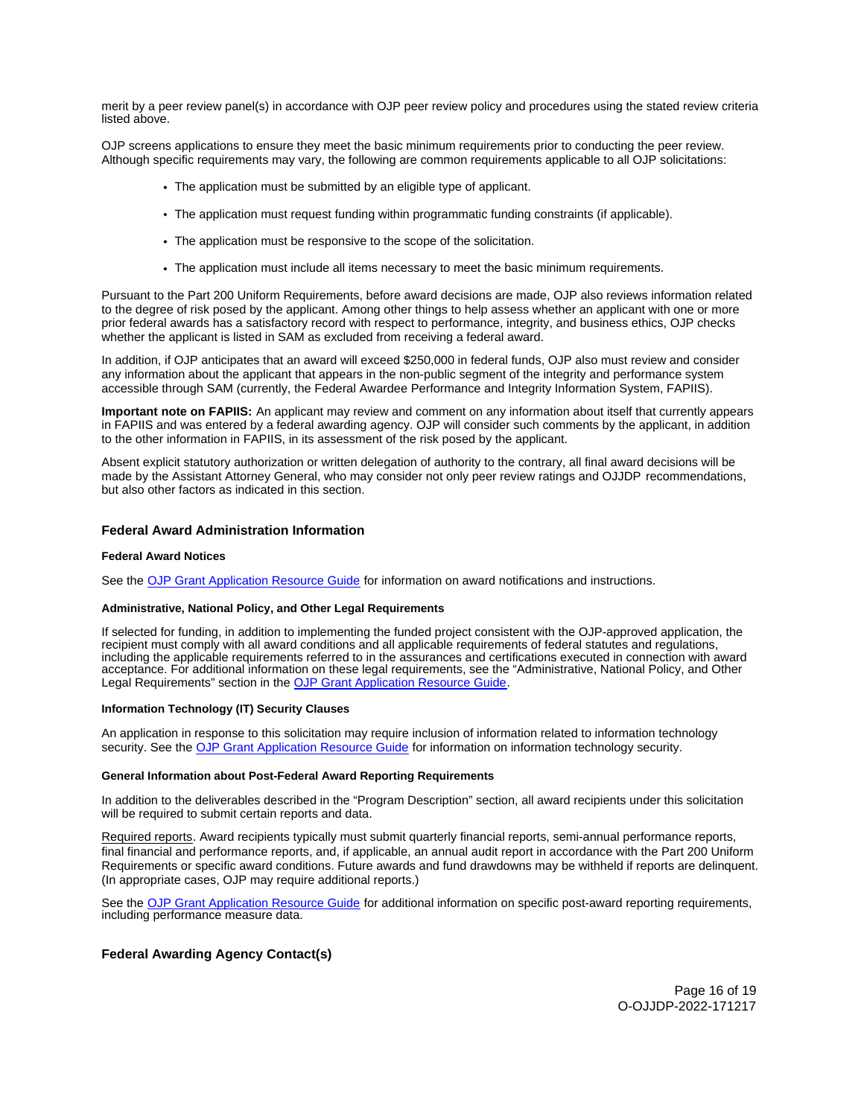<span id="page-15-0"></span>merit by a peer review panel(s) in accordance with OJP peer review policy and procedures using the stated review criteria listed above.

OJP screens applications to ensure they meet the basic minimum requirements prior to conducting the peer review. Although specific requirements may vary, the following are common requirements applicable to all OJP solicitations:

- The application must be submitted by an eligible type of applicant.
- The application must request funding within programmatic funding constraints (if applicable).
- The application must be responsive to the scope of the solicitation.
- The application must include all items necessary to meet the basic minimum requirements.

Pursuant to the Part 200 Uniform Requirements, before award decisions are made, OJP also reviews information related to the degree of risk posed by the applicant. Among other things to help assess whether an applicant with one or more prior federal awards has a satisfactory record with respect to performance, integrity, and business ethics, OJP checks whether the applicant is listed in SAM as excluded from receiving a federal award.

In addition, if OJP anticipates that an award will exceed \$250,000 in federal funds, OJP also must review and consider any information about the applicant that appears in the non-public segment of the integrity and performance system accessible through SAM (currently, the Federal Awardee Performance and Integrity Information System, FAPIIS).

**Important note on FAPIIS:** An applicant may review and comment on any information about itself that currently appears in FAPIIS and was entered by a federal awarding agency. OJP will consider such comments by the applicant, in addition to the other information in FAPIIS, in its assessment of the risk posed by the applicant.

Absent explicit statutory authorization or written delegation of authority to the contrary, all final award decisions will be made by the Assistant Attorney General, who may consider not only peer review ratings and OJJDP recommendations, but also other factors as indicated in this section.

## **Federal Award Administration Information**

#### **Federal Award Notices**

See the [OJP Grant Application Resource Guide](https://www.ojp.gov/funding/apply/ojp-grant-application-resource-guide#federal-award-notices) for information on award notifications and instructions.

#### **Administrative, National Policy, and Other Legal Requirements**

If selected for funding, in addition to implementing the funded project consistent with the OJP-approved application, the recipient must comply with all award conditions and all applicable requirements of federal statutes and regulations, including the applicable requirements referred to in the assurances and certifications executed in connection with award acceptance. For additional information on these legal requirements, see the "Administrative, National Policy, and Other Legal Requirements" section in the [OJP Grant Application Resource Guide.](https://www.ojp.gov/funding/apply/ojp-grant-application-resource-guide#administrative)

#### **Information Technology (IT) Security Clauses**

An application in response to this solicitation may require inclusion of information related to information technology security. See the [OJP Grant Application Resource Guide](https://www.ojp.gov/funding/apply/ojp-grant-application-resource-guide#information-technology) for information on information technology security.

## **General Information about Post-Federal Award Reporting Requirements**

In addition to the deliverables described in the "Program Description" section, all award recipients under this solicitation will be required to submit certain reports and data.

Required reports. Award recipients typically must submit quarterly financial reports, semi-annual performance reports, final financial and performance reports, and, if applicable, an annual audit report in accordance with the Part 200 Uniform Requirements or specific award conditions. Future awards and fund drawdowns may be withheld if reports are delinquent. (In appropriate cases, OJP may require additional reports.)

See the [OJP Grant Application Resource Guide](https://www.ojp.gov/funding/apply/ojp-grant-application-resource-guide#general-information) for additional information on specific post-award reporting requirements, including performance measure data.

## **Federal Awarding Agency Contact(s)**

Page 16 of 19 O-OJJDP-2022-171217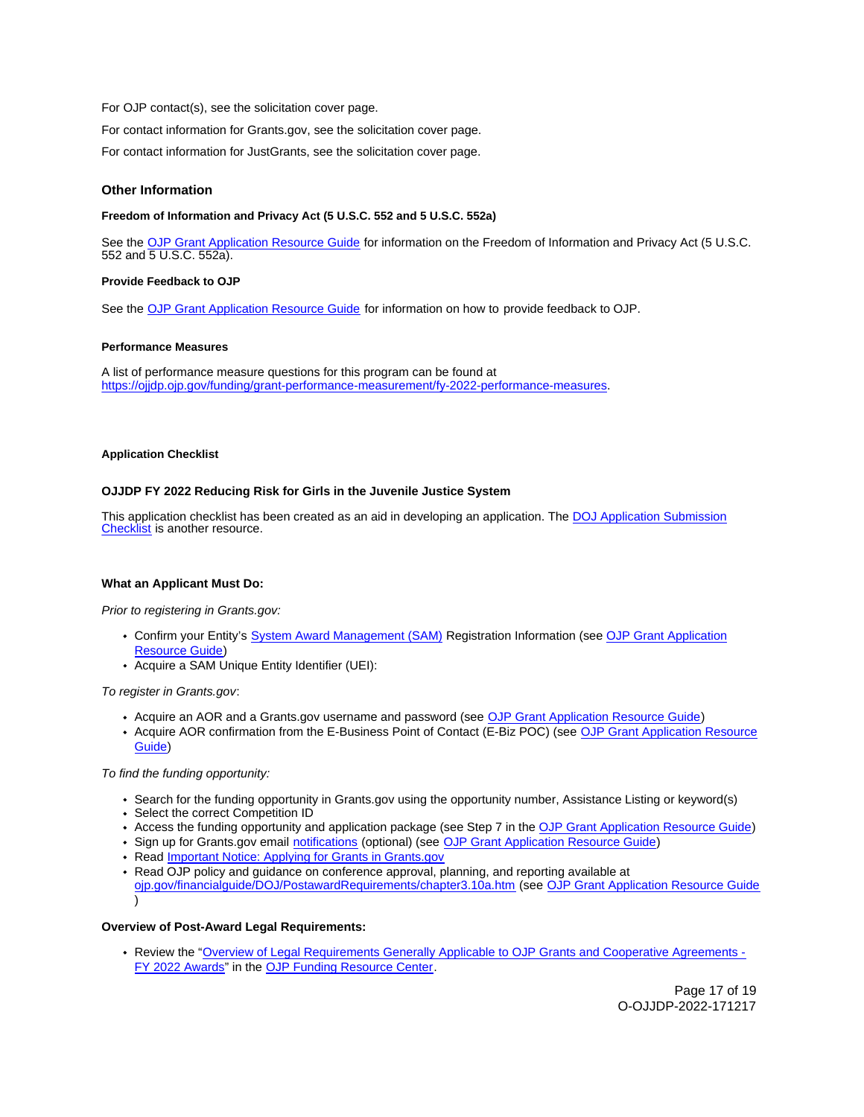<span id="page-16-0"></span>For OJP contact(s), see the solicitation cover page.

For contact information for [Grants.gov,](https://Grants.gov) see the solicitation cover page.

For contact information for JustGrants, see the solicitation cover page.

## **Other Information**

### **Freedom of Information and Privacy Act (5 U.S.C. 552 and 5 U.S.C. 552a)**

See the [OJP Grant Application Resource Guide](https://www.ojp.gov/funding/apply/ojp-grant-application-resource-guide#foia) for information on the Freedom of Information and Privacy Act (5 U.S.C. 552 and 5 U.S.C. 552a).

#### **Provide Feedback to OJP**

See the [OJP Grant Application Resource Guide](https://www.ojp.gov/funding/apply/ojp-grant-application-resource-guide#feedback) for information on how to provide feedback to OJP.

## **Performance Measures**

A list of performance measure questions for this program can be found at [https://ojjdp.ojp.gov/funding/grant-performance-measurement/fy-2022-performance-measures.](https://ojjdp.ojp.gov/funding/performance-measures/performance-measures-girls-juvenile-justice-system-program.pdf)

#### **Application Checklist**

#### **OJJDP FY 2022 Reducing Risk for Girls in the Juvenile Justice System**

This application checklist has been created as an aid in developing an application. The [DOJ Application Submission](https://justicegrants.usdoj.gov/sites/g/files/xyckuh296/files/media/document/appln-submission-checklist.pdf)  [Checklist](https://justicegrants.usdoj.gov/sites/g/files/xyckuh296/files/media/document/appln-submission-checklist.pdf) is another resource.

## **What an Applicant Must Do:**

Prior to registering in [Grants.gov:](https://Grants.gov)

- Confirm your Entity's [System Award Management \(SAM\)](https://sam.gov/SAM/) Registration Information (see OJP Grant Application [Resource Guide\)](https://www.ojp.gov/funding/apply/ojp-grant-application-resource-guide#apply)
- Acquire a SAM Unique Entity Identifier (UEI):

## To register in [Grants.gov](https://Grants.gov):

- Acquire an AOR and a [Grants.gov](https://Grants.gov) username and password (see [OJP Grant Application Resource Guide\)](https://www.ojp.gov/funding/apply/ojp-grant-application-resource-guide#apply)
- Acquire AOR confirmation from the E-Business Point of Contact (E-Biz POC) (see [OJP Grant Application Resource](https://www.ojp.gov/funding/apply/ojp-grant-application-resource-guide#apply)  [Guide\)](https://www.ojp.gov/funding/apply/ojp-grant-application-resource-guide#apply)

## To find the funding opportunity:

- Search for the funding opportunity in [Grants.gov](https://Grants.gov) using the opportunity number, Assistance Listing or keyword(s)
- Select the correct Competition ID
- Access the funding opportunity and application package (see Step 7 in the [OJP Grant Application Resource Guide\)](https://www.ojp.gov/funding/apply/ojp-grant-application-resource-guide#apply)
- Sign up for [Grants.gov](https://Grants.gov) email [notifications](https://www.grants.gov/web/grants/manage-subscriptions.html) (optional) (see [OJP Grant Application Resource Guide\)](https://www.ojp.gov/funding/apply/ojp-grant-application-resource-guide#apply)
- Read Important Notice: Applying for Grants in Grants.gov
- Read OJP policy and guidance on conference approval, planning, and reporting available at [ojp.gov/financialguide/DOJ/PostawardRequirements/chapter3.10a.htm](https://ojp.gov/financialguide/DOJ/PostawardRequirements/chapter3.10a.htm) (see [OJP Grant Application Resource Guide](https://www.ojp.gov/funding/apply/ojp-grant-application-resource-guide#prior-approval)  )

## **Overview of Post-Award Legal Requirements:**

Review the "[Overview of Legal Requirements Generally Applicable to OJP Grants and Cooperative Agreements -](https://www.ojp.gov/funding/explore/legal-overview-awards) [FY 2022 Awards"](https://www.ojp.gov/funding/explore/legal-overview-awards) in the [OJP Funding Resource Center.](https://www.ojp.gov/funding/explore/legal-overview-awards)

> Page 17 of 19 O-OJJDP-2022-171217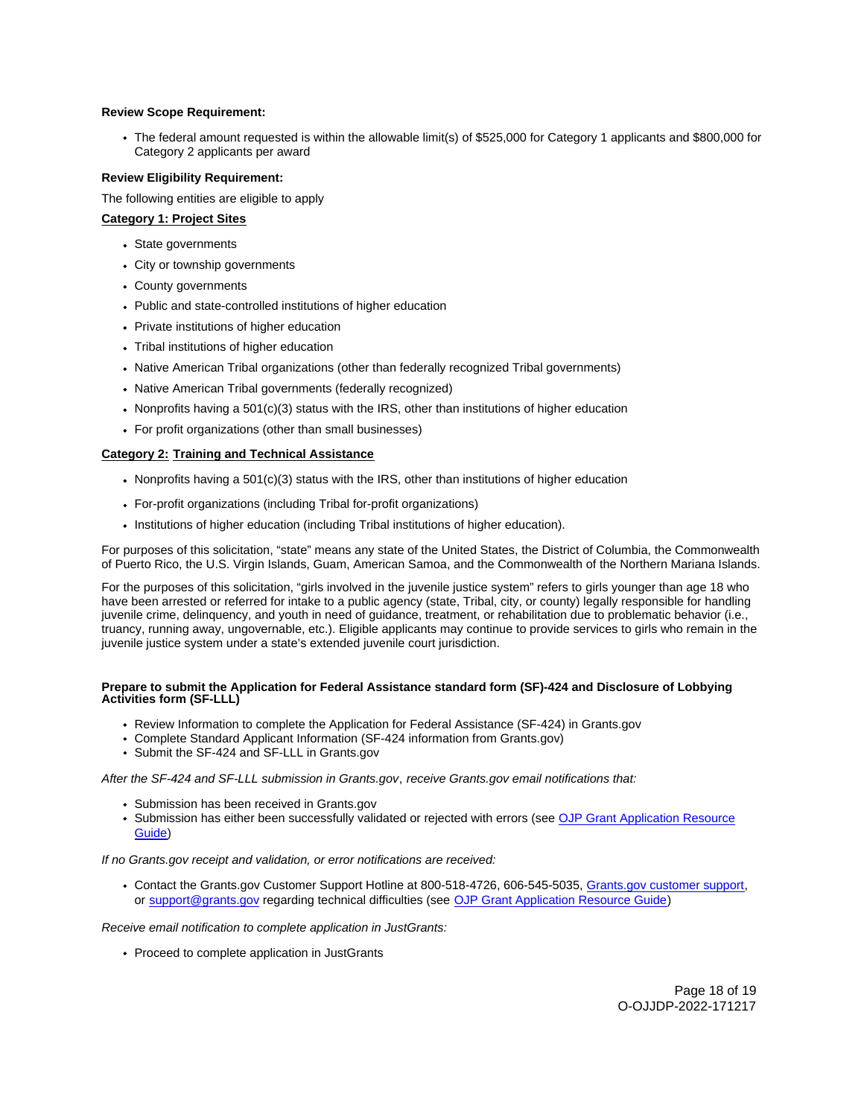## **Review Scope Requirement:**

The federal amount requested is within the allowable limit(s) of \$525,000 for Category 1 applicants and \$800,000 for Category 2 applicants per award

## **Review Eligibility Requirement:**

The following entities are eligible to apply

## **Category 1: Project Sites**

- State governments
- City or township governments
- County governments
- Public and state-controlled institutions of higher education
- Private institutions of higher education
- Tribal institutions of higher education
- Native American Tribal organizations (other than federally recognized Tribal governments)
- Native American Tribal governments (federally recognized)
- Nonprofits having a 501(c)(3) status with the IRS, other than institutions of higher education
- For profit organizations (other than small businesses)

## **Category 2: Training and Technical Assistance**

- Nonprofits having a 501(c)(3) status with the IRS, other than institutions of higher education
- For-profit organizations (including Tribal for-profit organizations)
- Institutions of higher education (including Tribal institutions of higher education).

For purposes of this solicitation, "state" means any state of the United States, the District of Columbia, the Commonwealth of Puerto Rico, the U.S. Virgin Islands, Guam, American Samoa, and the Commonwealth of the Northern Mariana Islands.

For the purposes of this solicitation, "girls involved in the juvenile justice system" refers to girls younger than age 18 who have been arrested or referred for intake to a public agency (state, Tribal, city, or county) legally responsible for handling juvenile crime, delinquency, and youth in need of guidance, treatment, or rehabilitation due to problematic behavior (i.e., truancy, running away, ungovernable, etc.). Eligible applicants may continue to provide services to girls who remain in the juvenile justice system under a state's extended juvenile court jurisdiction.

#### **Prepare to submit the Application for Federal Assistance standard form (SF)-424 and Disclosure of Lobbying Activities form (SF-LLL)**

- Review Information to complete the Application for Federal Assistance (SF-424) in [Grants.gov](https://Grants.gov)
- Complete Standard Applicant Information (SF-424 information from [Grants.gov\)](https://Grants.gov)
- Submit the SF-424 and SF-LLL in [Grants.gov](https://Grants.gov)

After the SF-424 and SF-LLL submission in [Grants.gov](https://Grants.gov), receive [Grants.gov](https://Grants.gov) email notifications that:

- Submission has been received in [Grants.gov](https://Grants.gov)
- Submission has either been successfully validated or rejected with errors (see [OJP Grant Application Resource](https://www.ojp.gov/funding/apply/ojp-grant-application-resource-guide#apply)  [Guide\)](https://www.ojp.gov/funding/apply/ojp-grant-application-resource-guide#apply)

If no [Grants.gov](https://Grants.gov) receipt and validation, or error notifications are received:

Contact the [Grants.gov](https://Grants.gov) Customer Support Hotline at 800-518-4726, 606-545-5035, [Grants.gov customer support,](https://www.grants.gov/web/grants/support.html) or [support@grants.gov](mailto:support@grants.gov) regarding technical difficulties (see [OJP Grant Application Resource Guide\)](https://www.ojp.gov/funding/apply/ojp-grant-application-resource-guide#apply)

Receive email notification to complete application in JustGrants:

• Proceed to complete application in JustGrants